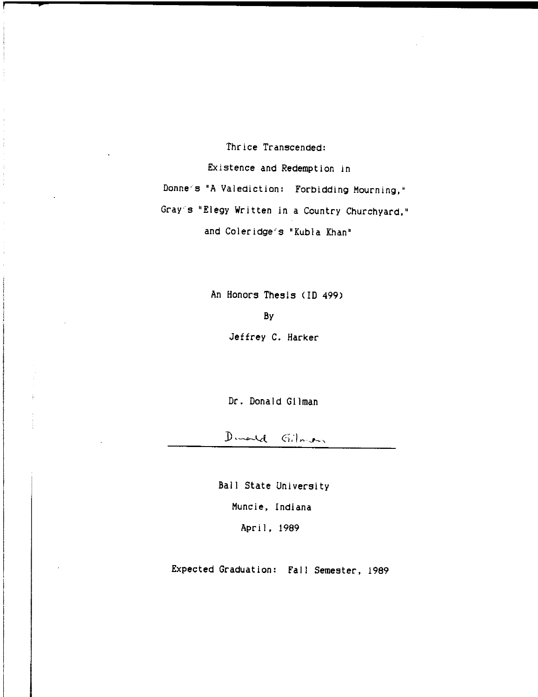Thrice Transcended:

**;** 

Existence and Redemption in Donne's "A Valediction: Forbidding Mourning," Gray"s "Elegy Written in a Country Churchyard," and Coleridge's "Kubla Khan"

> An Honors Thesis (10 499) By Jeffrey C. Harker

> > Dr. Donald Gilman

Dimental Gilberton

Ball State University Muncie, Indiana April, 1989

Expected Graduation: Fall Semester, 1989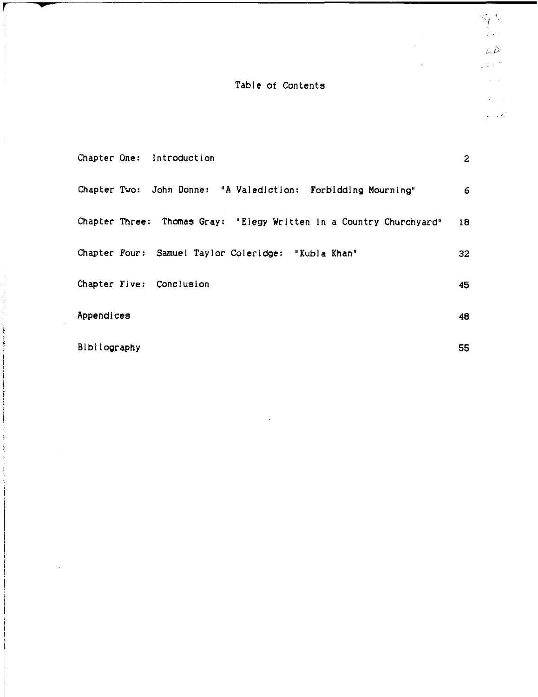# Table of Contents

**•** 

j

÷.

 $\frac{1}{2}$ 

Í

 $\sim$   $\sim$ 

 $\mathcal{A}^{\mathcal{A}}$ 

 $\ddot{\phantom{a}}$ 

|              |  | Chapter One: Introduction                                           | $\mathbf{2}$ |  |
|--------------|--|---------------------------------------------------------------------|--------------|--|
|              |  | Chapter Two: John Donne: "A Valediction: Forbidding Mourning"       | 6.           |  |
|              |  | Chapter Three: Thomas Gray: "Elegy Written in a Country Churchyard" | 18           |  |
|              |  | Chapter Four: Samuel Taylor Coleridge: "Kubla Khan"                 | 32           |  |
|              |  | Chapter Five: Conclusion                                            | 45           |  |
| Appendices   |  |                                                                     | 48           |  |
| Bibliography |  |                                                                     |              |  |

 $\overline{a}$ 

 $\zeta_l$  $\frac{1}{2} \sum_{i=1}^n \frac{1}{2} \sum_{j=1}^n \frac{1}{2} \sum_{j=1}^n \frac{1}{2} \sum_{j=1}^n \frac{1}{2} \sum_{j=1}^n \frac{1}{2} \sum_{j=1}^n \frac{1}{2} \sum_{j=1}^n \frac{1}{2} \sum_{j=1}^n \frac{1}{2} \sum_{j=1}^n \frac{1}{2} \sum_{j=1}^n \frac{1}{2} \sum_{j=1}^n \frac{1}{2} \sum_{j=1}^n \frac{1}{2} \sum_{j=1}^n \frac{1}{2} \sum_{j=$  $\triangle \tilde{D}$ 

 $\sqrt{6.3}$  $\frac{1}{2}$  ,  $\frac{1}{2}$ 

> $\mathbf{z} \in \mathbb{R}^{n \times d}$  $\mathcal{L} \rightarrow \mathcal{L}$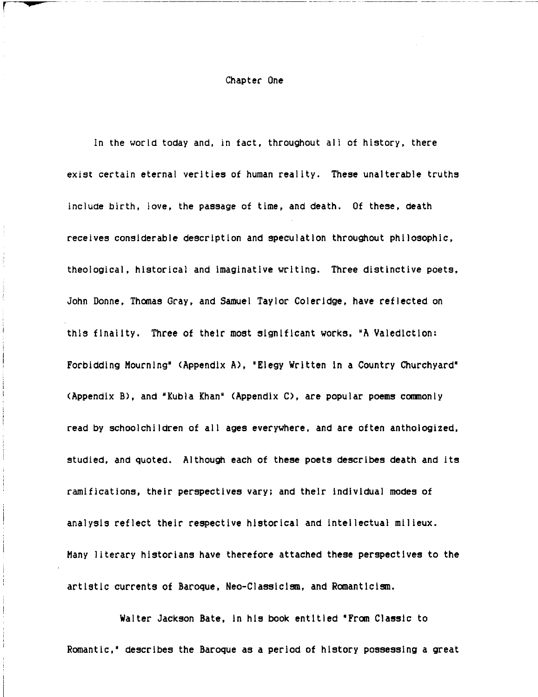#### Chapter One

r **:ps** 

In the world today and, in fact, throughout all of history, there exist certain eternal verities of human reality. These unalterable truths include birth, love, the passage of time, and death. Of these, death receives considerable descrIptIon and speculation throughout philosophic, theological, historical and Imaginative writing. Three distinctive poets, John Donne, Thomas Gray, and Samuel Taylor Coleridge, have reflected on this finality. Three of their most significant works, 'A Valediction: Forbidding Mourning' (Appendix A), 'Elegy Written In a Country Churchyard' (Appendix B), and 'Kubla Khan' (Appendix C), are popular poems commonly read by schoolchildren of all ages everywhere, and are often anthologized, studied, and quoted. Although each of these poets describes death and its ramifications, their perspectives vary; and their Individual modes of analysis reflect their respective historical and intellectual milieux. Many literary historians have therefore attached these perspectives to the artistic currents of Baroque, Neo-Classlclsm, and Romanticism.

Walter Jackson Bate, In his book entitled 'From Classic to Romantic," describes the Baroque as a period of history possessing a great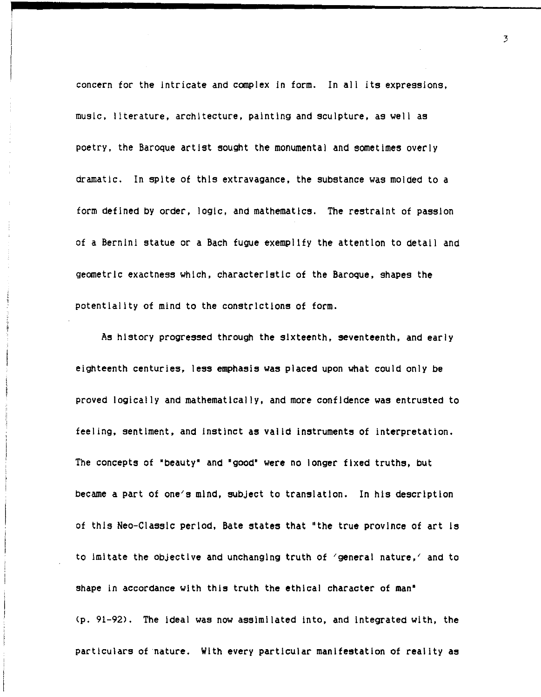concern for the intricate and complex in form. In all its expressions, music, literature, architecture, painting and sculpture, as weli as poetry, the Baroque artist sought the monumental and sometimes overly dramatic. In spite of this extravagance, the substance was molded to a form defined by order, logic, and mathematics. The restraint of passion of a Bernini statue or a Bach fugue exemplify the attention to detail and geometric exactness which, characteristic of the Baroque, shapes the potentiality of mind to the constrictions of form.

As history progressed through the sixteenth, seventeenth, and early eighteenth centuries, less emphasis was placed upon what could only be proved logically and mathematically, and more confidence was entrusted to teeling, sentiment, and instinct as valid instruments of interpretation. The concepts of 'beauty' and 'good' were no longer fixed truths, but became a part of one/s mind, subject to translation. In his description of this Neo-Classic period, Bate states that 'the true province of art Is to imitate the objective and unchanging truth of 'general nature,' and to shape in accordance with this truth the ethical character of man' (p. 91-92). The ideal was now assimilated into, and Integrated with, the particulars of nature. With every particular manifestation of reality as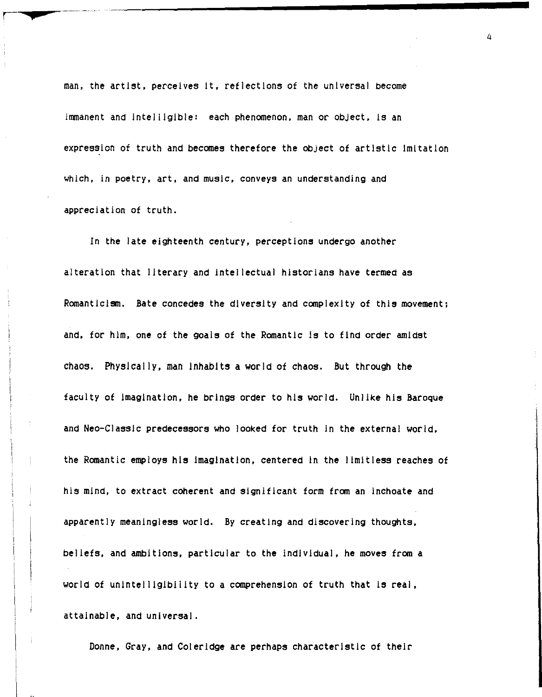man, the artist, perceives It, reflectIons of the universal become immanent and Intelligible: each phenomenon, man or object, Is an expression of truth and becomes therefore the object of artistic Imitation which, in poetry, art, and music, conveys an understanding and appreciation of truth.

<sup>I</sup>**..** 

In the late eighteenth century, perceptions undergo another alteration that literary and intellectual historians have termed as Romanticism. Bate concedes the diversity and complexity of this movement; and, for him, one of the goals of the Romantic Is to find order amidst chaos. Physically, man Inhabits a world of chaos. But through the faculty of Imagination, he brings order to his world. Unlike his Baroque and Neo-Classlc predecessors who looked for truth in the external world, the Romantic employs his Imagination, centered In the limitless reaches of his mind, to extract coherent and significant form from an inchoate and apparently meaningless world. By creating and discovering thoughts, beliefs, and ambitions, particular to the individual, he moves from a world of unintelligibility to a comprehension of truth that is real, attainable, and universal.

Donne, Gray, and Coleridge are perhaps characteristic of their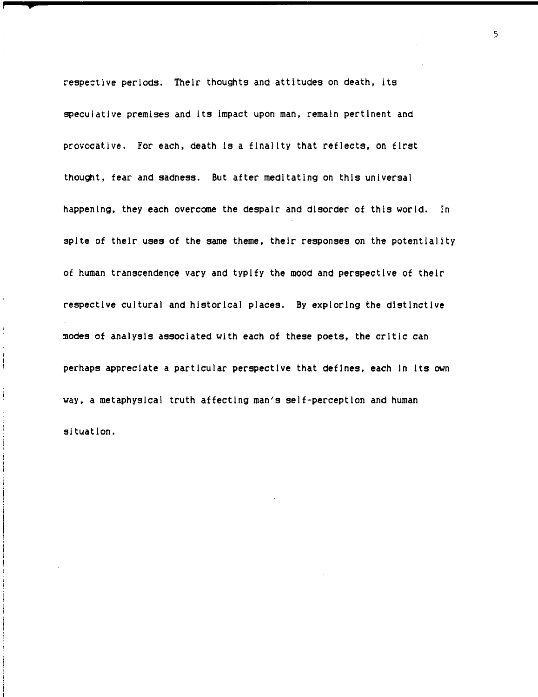respective periods. Their thoughts and attitudes on death, its speculative premises and its Impact upon man, remain pertinent and provocative. For each, death is a finality that reflects, on first thought, fear and sadness. But after meditating on this universal happening, they each overcome the despair and disorder of this world. In spite of their uses of the same theme, their responses on the potentiality of human transcendence vary and typify the mood and perspective of their respective cultural and historical places. *By* exploring the distinctive modes of analysis associated with each of these poets, the critic can perhaps appreciate a particular perspective that defines, each In Its own way, a metaphysical truth affecting man's self-perception and human situation.

5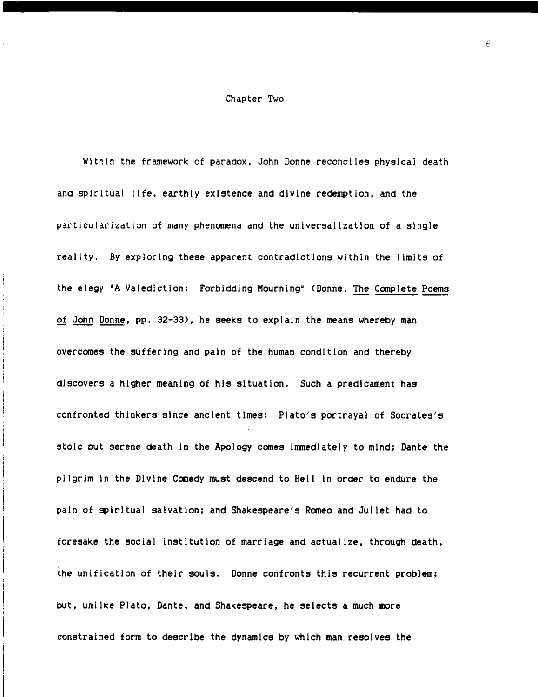#### Chapter Two

Within the framework of paradox, John Donne reconciles physical death and spiritual life, earthly existence and divine redemption, and the particularization of many phenomena and the universalization of a single reality. *By* exploring these apparent contradictions within the limits of the elegy 'A Valediction: Forbidding Mourning' (Donne, The Complete Poems of John Donne, pp. 32-33), he seeks to explain the means whereby man overcomes the suffering and pain of the human condition and thereby discovers a higher meaning of his situation. Such a predicament has confronted thinkers since ancient times: Plato's portrayal of Socrates's stoic but serene death in the Apology comes immediately to mind; Dante the pilgrim In the Divine Comedy must descend to Hell In order to endure the pain of spiritual salvation; and Shakespeare's Romeo and Juliet had to foresake the social institution of marriage and actualize, through death, the unification of their souls. Donne confronts this recurrent problem; but, unlike Plato, Dante, and Shakespeare, he selects a much more constrained form to describe the dynamics by which man resolves the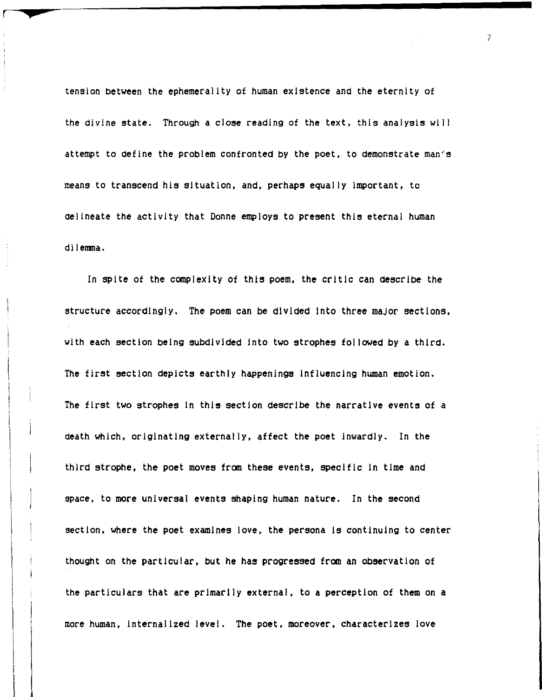tension between the ephemerality of human existence and the eternity of the divine state. Through a close reading of the text, this analysis will attempt to define the problem confronted by the poet, to demonstrate man's means to transcend his situation, and, perhaps equally important, to delineate the activity that Donne employs to present this eternal human dilemma.

**p** 

In spite of the complexity of this poem, the critic can describe the structure accordingly. The poem can be divided Into three major sections, with each section being subdivided Into two strophes followed by a third. The first section depicts earthly happenings Influencing human emotion. The first two strophes In this section describe the narrative events of a death which, origInating externally, affect the poet Inwardly. In the third strophe, the poet moves from these events, specific In time and space, to more universal events shaping human nature. In the second section, where the poet examines love, the persona Is continuing to center thought on the particular, but he has progressed from an observation of the particulars that are prImarily external, to a perception of them on a more human, InternalIzed level. The poet, moreover, characterIzes love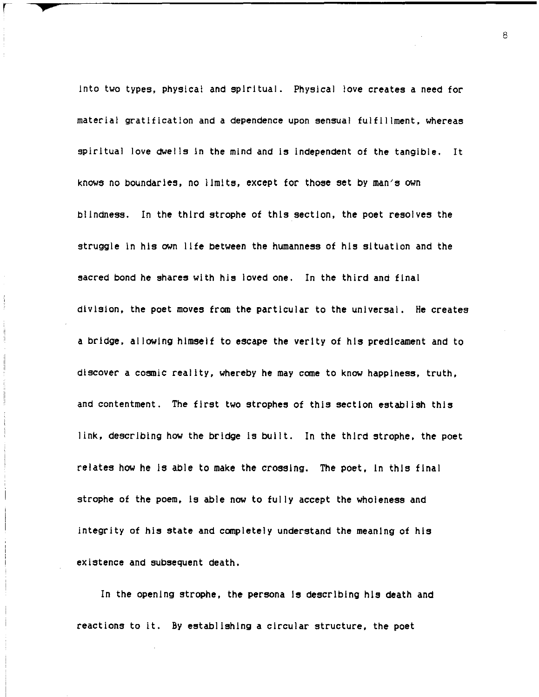Into two types. physical and spiritual. Physical love creates a need for material gratification and a dependence upon sensual fulfillment. whereas spiritual love dwells in the mind and is independent of the tangible. It knows no boundaries. no limits. except for those set by man's own blindness. In the third strophe of this section. the poet resolves the struggle in his own life between the humanness of his situation and the sacred bond he shares with his loved one. In the third and final division. the poet moves from the particular to the universal. He creates a bridge. allowing himself to escape the verity of his predicament and to discover a cosmic reality. whereby he may come to know happiness. truth. and contentment. The first two strophes of this section establish this link. describing how the bridge Is built. In the third strophe. the poet relates how he Is able to make the crossing. The poet. In this final strophe of the poem. Is able now to fully accept the wholeness and integrity of his state and completely understand the meaning of his existence and subsequent death.

r **<sup>p</sup>**

In the opening strophe. the persona Is describing his death and reactions to it. By establishing a circular structure. the poet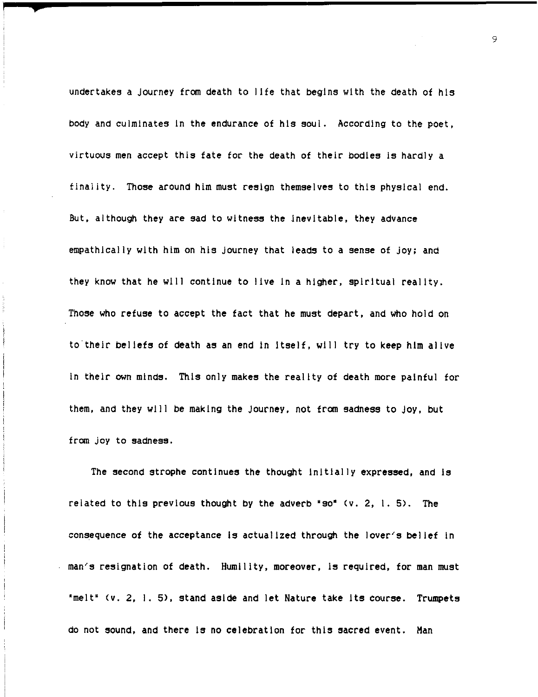undertakes a Journey from death to lIfe that begIns wIth the death of hIs body and culminates In the endurance of hIs soul. According to the poet, virtuous men accept this fate for the death of their bodies Is hardly a finality. Those around him must resign themselves to this physical end. But, although they are sad to witness the inevitable, they advance empathlcally with him on his journey that leads to a sense of joy; and they know that he will continue to live In a higher, spirItual realIty. Those who refuse to accept the fact that he must depart, and who hold on to their beliefs of death as an end in itself, will try to keep him alive in their own minds. This only makes the reality of death more painful for them, and they wIll be makIng the Journey, not from sadness to Joy, but from joy to sadness.

**#** 

The second strophe continues the thought initially expressed, and is related to this previous thought by the adverb "so"  $(v. 2, 1.5)$ . The consequence of the acceptance is actualized through the lover's belief in man's resignation of death. Humility, moreover, Is required, for man must 'melt' (v. 2, 1.5), stand asIde and let Nature take Its course. Trumpets do not sound, and there Is no celebratIon for thIs sacred event. Man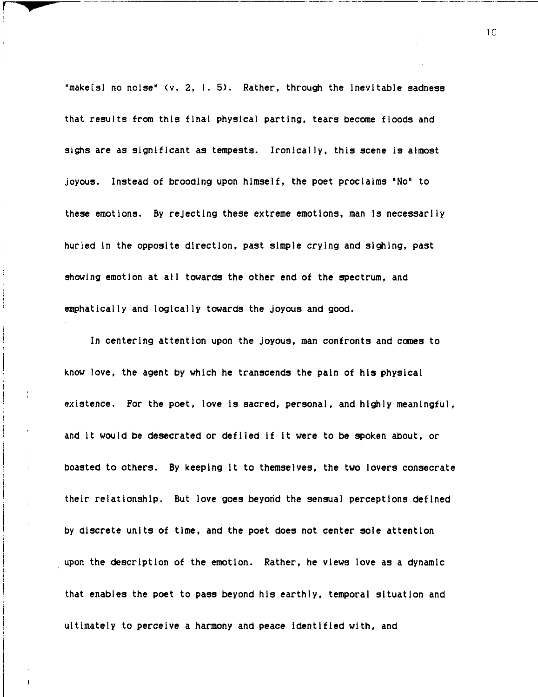"make[s] no noise' (v. 2, I, 5), Rather, through the Inevitable sadness that results from this final physical parting, tears become floods and sighs are as significant as tempests. Ironically, this scene is almost joyous. Instead of brooding upon himself, the poet proclaims 'No' to these emotions. By rejecting these extreme emotions, man Is necessarily hurled In the opposite direction, past simple crying and sighing, past showing emotion at all towards the other end of the spectrum, and emphatically and logically towards the joyous and good.

r

I

In centering attention upon the joyous, man confronts and comes to know love, the agent by which he transcends the pain of his physical existence. For the poet, love Is sacred, personal, and highly meaningful, and it would be desecrated or defiled If It were to be spoken about, or boasted to others. By keeping It to themselves, the two lovers consecrate their relationship. But love goes beyond the sensual perceptions defined by discrete units of time, and the poet does not center sole attention upon the description of the emotion. Rather, he views love as a dynamic that enables the poet to pass beyond his earthly, temporal situation and ultimately to perceive a harmony and peace Identified with, and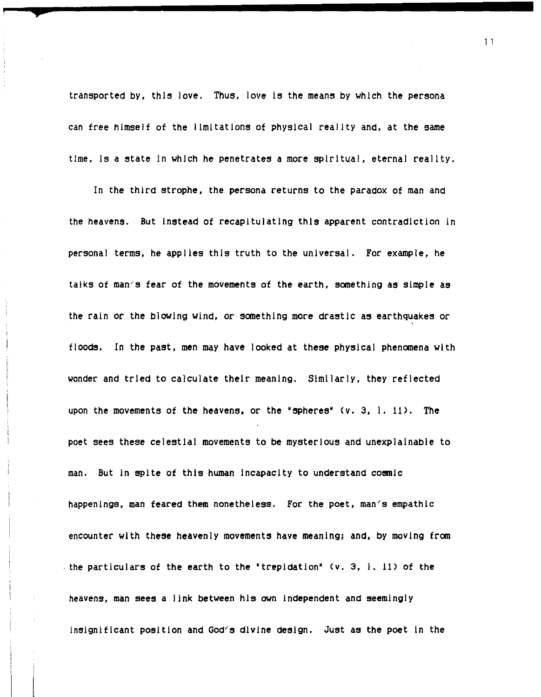transported by, this love. Thus, love Is the means by which the persona can free himself of the limitations of physical reality and, at the same time, Is a state In which he penetrates a more spiritual, eternal reality.

In the third strophe, the persona returns to the paradox of man and the heavens. But Instead of recapitulating this apparent contradiction in personal terms, he applies this truth to the universal. For example, he talks of man's fear of the movements of the earth, something as Simple as the rain or the blowing wind, or something more drastic as earthquakes or floods. In the past, men may have looked at these physical phenomena with wonder and tried to calculate their meaning. Similarly, they reflected upon the movements of the heavens, or the "spheres' *(v.* 3, I. 11). The poet sees these celestial movements to be mysterious and unexplainable to man. But in spite of this human Incapacity to understand cosmic happenings, man feared them nonetheless. For the poet, man's empathic encounter with these heavenly movements have meaning; and, by moving from . the particulars of the earth to the 'trepidation' (v. 3, I. 11) of the heavens, man sees a link between his own independent and seemingly insignificant position and God's divine design. Just as the poet In the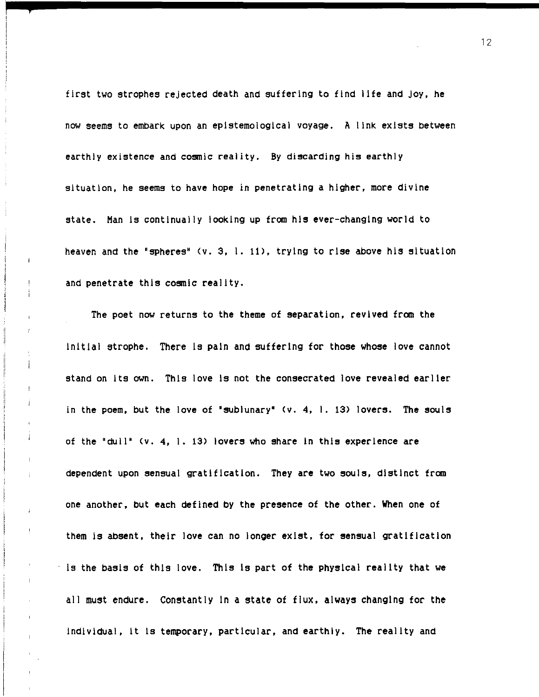first two strophes rejected death and suffering to find life and Joy. he now seems to embark upon an epistemological voyage. A link exists between earthly existence and cosmic reality. By discarding his earthly situation. he seems to have hope in penetrating a higher. more divine state. Man is continually looking up from his ever-changing world to heaven and the 'spheres' (v. 3. I. 11). trying to rise above his situation and penetrate this cosmic reality.

**;** 

The poet now returns to the theme of separation, revived from the Initial strophe. There Is pain and suffering for those whose love cannot stand on Its own. This love Is not the consecrated love revealed earlier in the poem, but the love of "sublunary"  $(v. 4, 1. 13)$  lovers. The souls of the "dull' (v. 4. 1. 13) lovers who share In this experience are dependent upon sensual gratification. They are two souls. distinct from one another. but each defined by the presence of the other. When one of them is absent. their love can no longer exist. for sensual gratification is the basis of this love. This is part of the physical reality that we all must endure. Constantly In a state of flux. always changing for the individual. It Is temporary. particular. and earthly. The reality and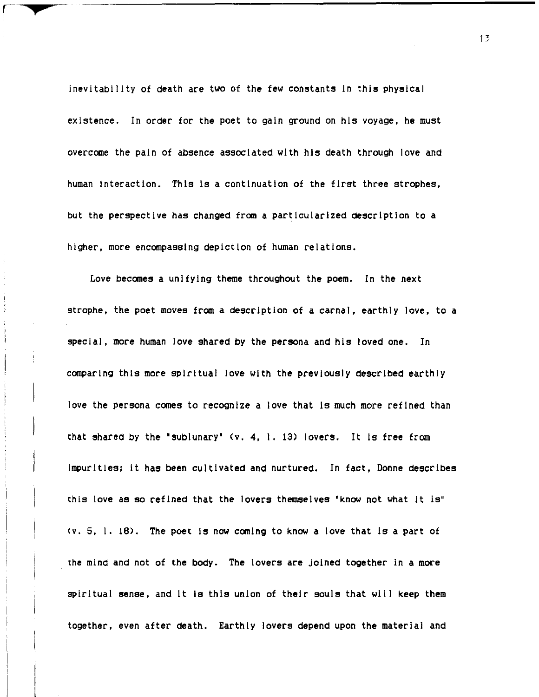inevitability of death are two of the few constants in this physical existence. In order for the poet to gain ground on his voyage. he must overcome the pain of absence associated with his death through love and human interaction. This is a continuation of the first three strophes. but the perspective has changed from a partlcuiarized description to a higher. more encompassing depiction of human relations.

I **+** 

Love becomes a unifying theme throughout the poem. In the next strophe. the poet moves from a description of a carnal. earthly love. to a special, more human love shared by the persona and his loved one. In comparing this more spiritual love with the previously described earthly love the persona comes to recognize a love that is much more refined than that shared by the 'sublunary' (v. 4. I. 13) lovers. It Is free from Impurities; It has been cultivated and nurtured. In fact. Donne describes this love as so refined that the lovers themselves "know not what it is" *(v.* 5. I. 16). The poet Is now coming to know a love that Is a part of the mind and not of the body. The lovers are joined together in a more spiritual sense, and it is this union of their souls that will keep them together. even after death. Earthly lovers depend upon the material and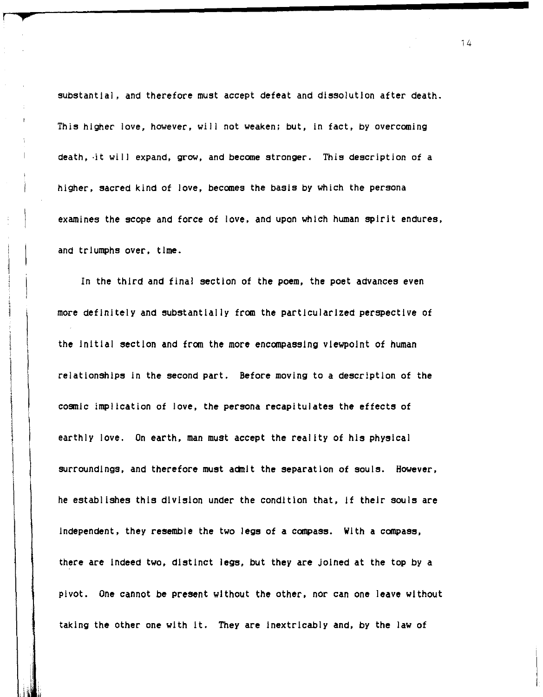substantial, and therefore must accept defeat and dissolution after death. This higher *love,* however, will not weaken: but, in fact, by overcoming death, ·it will expand, grow, and become stronger. This description of a higher, sacred kind of *love,* becomes the basis by which the persona examines the scope and force of *love,* and upon which human spirit endures, and triumphs over, time.

**+'** 

 $\vert$ 

 $\vert$ 

 $\mathfrak l$ 

,  $\mathbf{I}$ 

In the third and final section of the poem, the poet advances even more definitely and substantially from the particularized perspective of the Initial section and from the more encompassing viewpoint of human relationships In the second part. Before moving to a description of the cosmic implication of love, the persona recapitulates the effects of earthly love. On earth, man must accept the reality of his physical surroundings, and therefore must admit the separation of souls. However, he establishes this division under the condition that, If their souls are Independent, they resemble the two legs of a compass. With a compass, there are Indeed two, distinct legs, but they are Joined at the top by a pivot. One cannot be present without the other, nor can one leave without taking the other one with It. They are Inextricably and, by the law of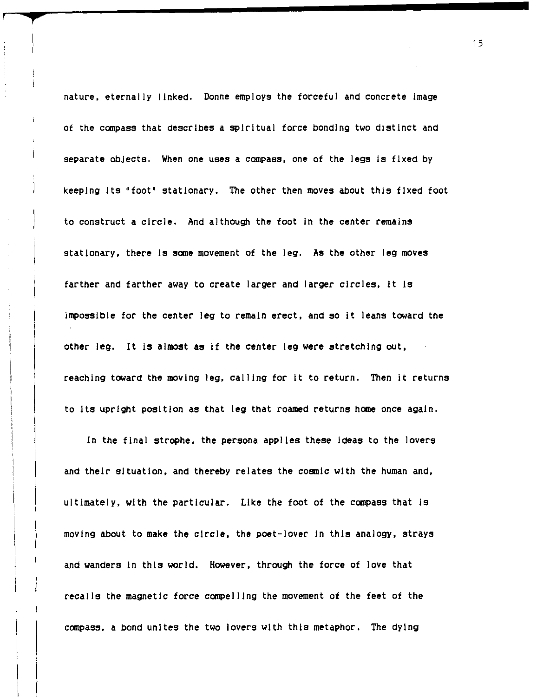nature, eternally linked. Donne employs the forceful and concrete Image of the compass that describes a spiritual force bonding two distinct and separate objects. When one uses a compass, one of the legs is fixed by keeping Its "foot' stationary. The other then moves about this fixed foot to construct a circle. And although the foot In the center remains stationary, there is some movement of the leg. As the other leg moves farther and farther away to create larger and larger circles, It Is impossible for the center leg to remain erect, and so It leans toward the other leg. It Is almost as If the center leg were stretching out, reaching toward the moving leg, calling for it to return. Then it returns to Its upright position as that leg that roamed returns home once again.

**+** 

In the final strophe, the persona applies these Ideas to the lovers and their situation, and thereby relates the cosmic with the human and, ultimately, with the particular. Like the foot of the compass that is moving about to make the circle, the poet-lover in this analogy, strays and wanders in this world. However, through the force of love that recalls the magnetic force compelling the movement of the feet of the compass, a bond unites the two lovers with this metaphor. The dying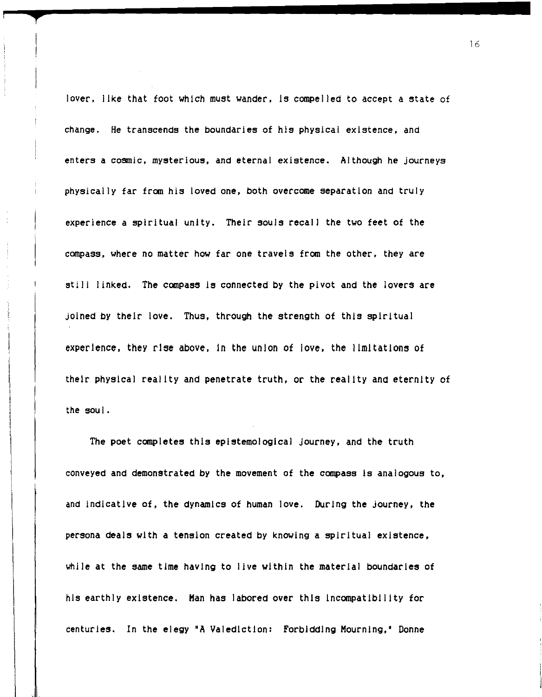lover, like that foot which must wander, 15 compelled to accept a state of change. He transcends the boundaries of his physical existence, and enters a cosmic, mysterious, and eternal existence. Although he journeys physically far from his loved one, both overcome separation and truly experience a spiritual unity. Their souls recall the two feet of the compass, where no matter how far one travels from the other, they are still linked. The compass is connected by the pivot and the lovers are joined by their love. Thus, through the strength of this spiritual experience, they rise above, In the union of love, the limitations of their physical reality and penetrate truth, or the reality and eternity of the soul.

The poet completes this epistemological journey, and the truth conveyed and demonstrated by the movement of the compass Is analogous to, and indicative of, the dynamics of human love. During the journey, the persona deals with a tension created by knOWing a spiritual existence, while at the same time having to live within the material boundaries of his earthly existence. Man has labored over this Incompatibility for centuries. In the elegy 'A Valediction: Forbidding Mourning,' Donne

11 '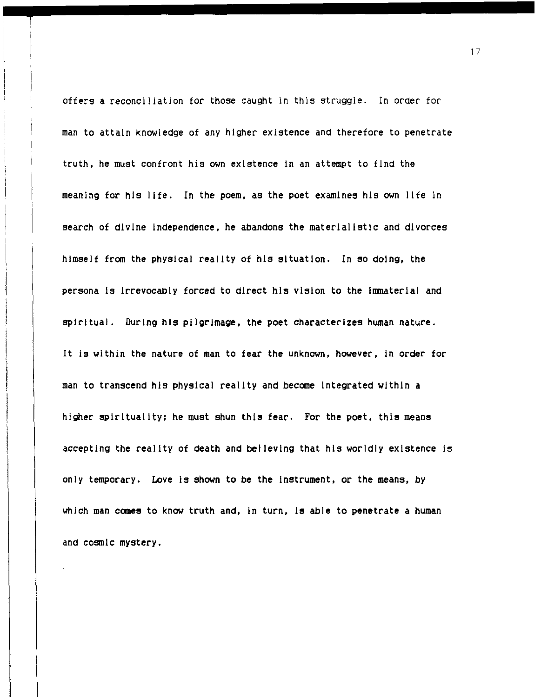offers a reconciliation for those caught in this struggle. In order for man to attain knowledge of any higher existence and therefore to penetrate truth. he must confront his own existence In an attempt to find the meaning for his life. In the poem. as the poet examines his own life in search of divine independence. he abandons the materialistic and divorces himself from the physical reality of his situation. In so doing. the persona is Irrevocably forced to direct his vision to the Immaterial and spiritual. During his pilgrimage. the poet characterizes human nature. It is within the nature of man to fear the unknown, however, in order for man to transcend his physical reality and become integrated within a higher spirituality; he must shun this fear. For the poet, this means accepting the reality of death and believing that his worldly existence is only temporary. Love Is shown to be the Instrument. or the means. by which man comes to know truth and, in turn, is able to penetrate a human and cosmic mystery.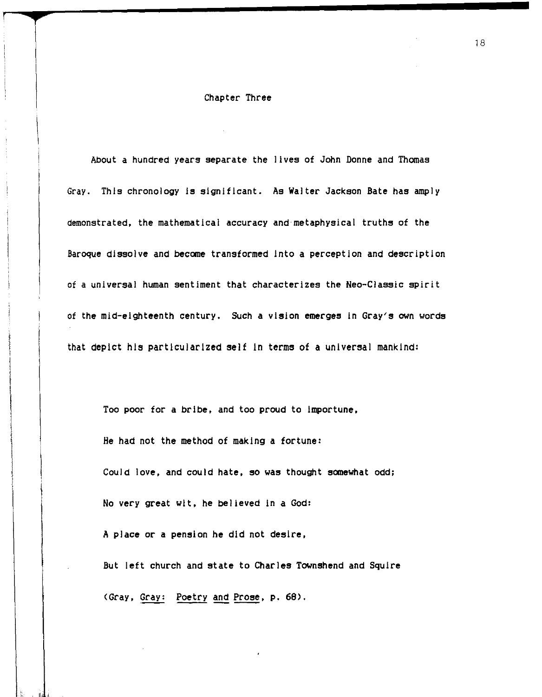#### Chapter Three

About a hundred years separate the lives of John Donne and Thomas Gray. ThIs chronology Is sIgnifIcant. As Walter Jackson Bate has amply demonstrated, the mathematical accuracy and metaphysical truths of the Baroque dissolve and become transformed into a perception and description of a universal human sentiment that characterizes the Neo-Classic spirit of the mid-eighteenth century. Such a visIon emerges In Gray's own words that depict hIs particularIzed self In terms of a unIversal mankInd:

Too poor for a brIbe. and too proud to Importune. He had not the method of makIng a fortune: Could love, and could hate, so was thought somewhat odd; No very great wit, he believed in a God: A place or a pensIon he did not desire. But left church and state to Charles Townshend and Squire (Gray, Gray: Poetry and Prose, p. 68).

I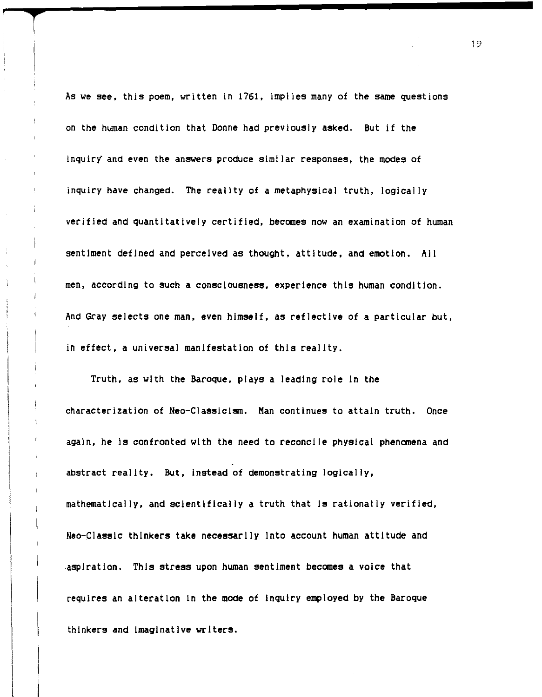As we see. this poem. written In 1761. implies many of the same questions on the human condition that Donne had previously asked. But If the inquiry and even the answers produce similar responses. the modes of inquiry have changed. The reality of a metaphysical truth. logically verified and quantitatively certified. becomes now an examination of human sentiment defined and perceived as thought. attitude. and emotion. All men. according to such a consciousness. experience this human condition. And Gray selects one man. even himself. as reflective of a particular but. in effect. a universal manifestation of this reality.

**r** 

Truth. as with the Baroque. plays a leading role in the characterization of Neo-Classlclsm. Man continues to attain truth. Once again. he is confronted with the need to reconcile physical phenomena and abstract reality. But. Instead of demonstrating logically. mathematically. and scientifically a truth that Is rationally verified. Neo-Classlc thinkers take necessarily Into account human attitude and ,aspiration. This stress upon human sentiment becomes a voice that requires an alteration in the mode of Inquiry employed by the Baroque thinkers and Imaginative writers.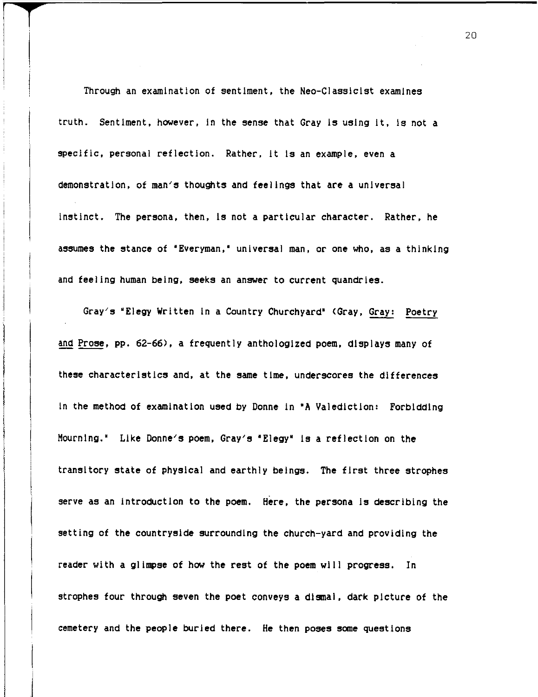Through an examination of sentiment, the Neo-Classlclst examines truth. Sentiment, however, In the sense that Gray Is using It, Is not a specific, personal reflection. Rather, It Is an example, even a demonstration, of man's thoughts and feelings that are a universal Instinct. The persona, then, Is not a particular character. Rather, he assumes the stance of "Everyman," universal man, or one who, as a thinking and feeling human being, seeks an answer to current quandries.

**T** <sup>r</sup>

Gray's 'Elegy Written In a Country Churchyard' (Gray, Gray: Poetry and Prose, pp. 62-66), a frequently anthologized poem, displays many of these characteristics and, at the same time, underscores the differences In the method of examination used by Donne In 'A Valediction: Forbidding Mourning.' Like Donne's poem, Gray's 'Elegy' Is a reflection on the transitory state of physical and earthly beings. The first three strophes serve as an introduction to the poem. Here, the persona is describing the setting of the countryside surrounding the church-yard and providing the reader with a glimpse of how the rest of the poem will progress. In strophes four through seven the poet conveys a dismal, dark picture of the cemetery and the people burled there. He then poses some questions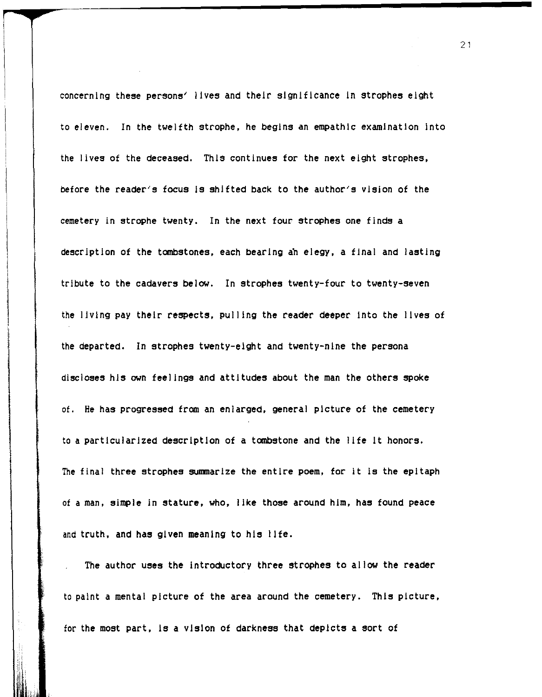concerning these persons' lives and their significance In strophes eight to eleven. In the twelfth strophe. he begins an empathic examination Into the lives of the deceased. This continues for the next eight strophes. before the reader's focus Is shifted back to the author's vision of the cemetery in strophe twenty. In the next four strophes one finds a description of the tombstones. each bearing an elegy. a final and lasting tribute to the cadavers below. In strophes twenty-four to twenty-seven the living pay their respects. pulling the reader deeper Into the lives of the departed. In strophes twenty-eight and twenty-nine the persona discloses his own feelings and attitudes about the man the others spoke of. He has progressed from an enlarged. general picture of the cemetery to a particularized description of a tombstone and the life It honors. The final three strophes summarize the entire poem. for it is the epitaph of a man. simple In stature. who. like those around him. has found peace and truth, and has given meaning to his life.

The author uses the Introductory three strophes to allow the reader to paint a mental picture of the area around the cemetery. This picture. for the most part. Is a vision of darkness that depicts a sort of

II I ,;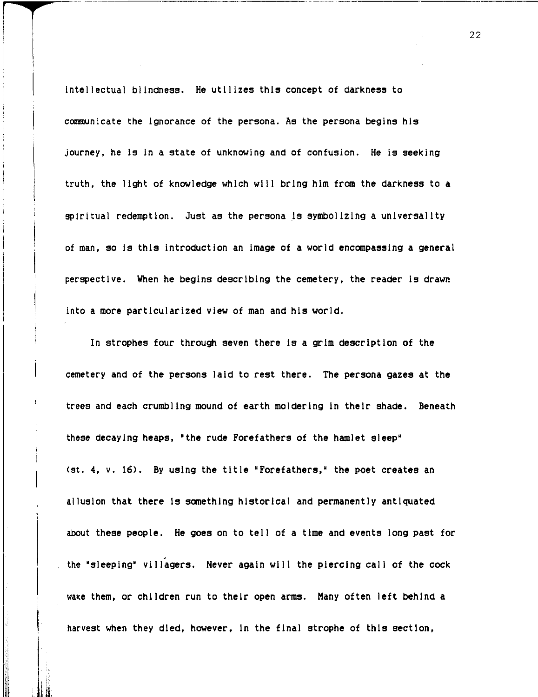Intellectual blindness. He utilizes this concept of darkness to communicate the Ignorance of the persona. As the persona begins his journey, he Is In a state of unknowing and of confusion. He is seeking truth, the light of knowledge which will bring him from the darkness to a spiritual redemption. Just as the persona Is symbolizing a universality of man, so Is this Introduction an Image of a world encompassing a general perspective. When he begins describing the cemetery, the reader is drawn into a more particularized view of man and his world.

In strophes four through seven there Is a grim description of the cemetery and of the persons laid to rest there. The persona gazes at the trees and each crumbling mound of earth moldering In their shade. Beneath these decaying heaps, "the rude Forefathers of the hamlet sleep" (st. 4, v. 16). By using the title "Forefathers," the poet creates an allusion that there Is something historical and permanently antiquated about these people. He goes on to tell of a time and events long past for the 'sleeplng' villagers. Never again will the piercing call of the cock wake them, or children run to their open arms. Many often left behind a harvest when they died, however. In the final strophe of this section,

I

**I**<br>I<br>I<br>I<br>I<br>I<br>I I ,

j.Llti,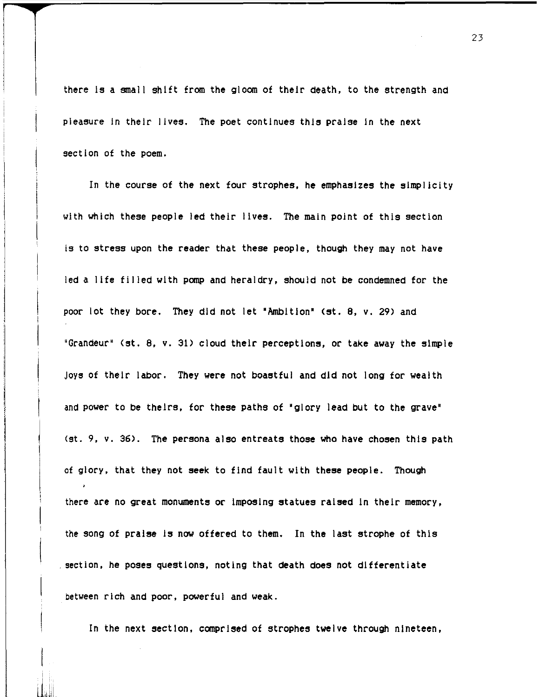there Is a small shift from the gloom of their death, to the strength and pleasure In their lives. The poet continues this praise In the next section of the poem.

In the course of the next four strophes, he emphasizes the simplicity with which these people led their lives. The main point of this section is to stress upon the reader that these people, though they may not have led a life filled with pomp and heraldry, should not be condemned for the poor lot they bore. They did not let 'Ambition' (st. 8, v. 29) and 'Grandeur" (st. 8, v. 31) cloud their perceptions, or take away the simple Joys of their labor. They were not boastful and did not long for wealth and power to be theirs, for these paths of 'glory lead but to the grave" (st. 9, v. 36). The persona also entreats those who have chosen this path of glory, that they not seek to find fault with these people. Though there are no great monuments or imposing statues raised in their memory, the song of praise Is now offered to them. In the iast strophe of this , section, he poses questions, noting that death does not differentiate between rich and poor, powerful and weak.

In the next section, comprised of strophes twelve through nineteen,

lli. i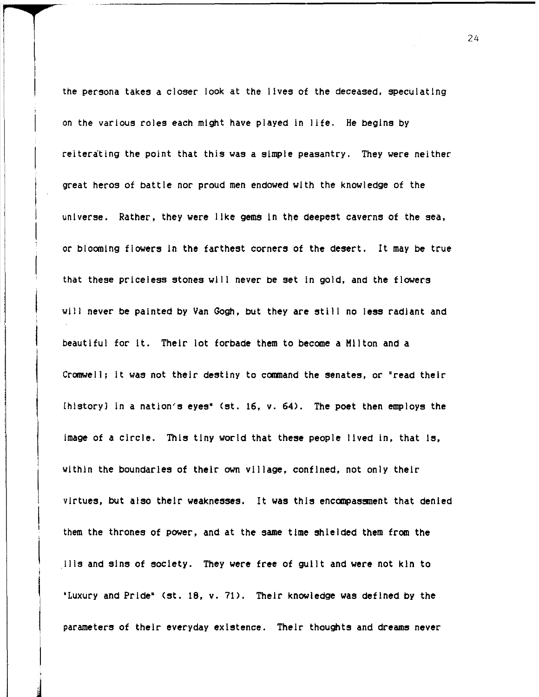the persona takes a closer look at the lives of the deceased, speculating on the various roles each might have played in life. He begins by reiterating the point that this was a simple peasantry. They were neither great heros of battle nor proud men endowed with the knowledge of the universe. Rather, they were like gems In the deepest caverns of the sea, or blooming flowers In the farthest corners of the desert. It may be true that these priceless stones will never be set In gold, and the flowers will never be painted by Van Gogh, but they are still no less radiant and beautiful for It. Their lot forbade them to become a Hilton and a Cromwell; It was not their destiny to command the senates, or "read their [history] In a nation's eyes' (st. 16, v. 64). The poet then employs the image of a circle. This tiny world that these people lived in, that is, within the boundaries of their own village, confined, not only their virtues, but also their weaknesses. It was this encompassment that denied them the thrones of power, and at the same time shielded them from the .Ills and sins of society. They were free of guilt and were not kin to 'Luxury and Pride' (st. 18, v. 71). Their knowledge was defined by the parameters of their everyday existence. Their thoughts and **dreams** never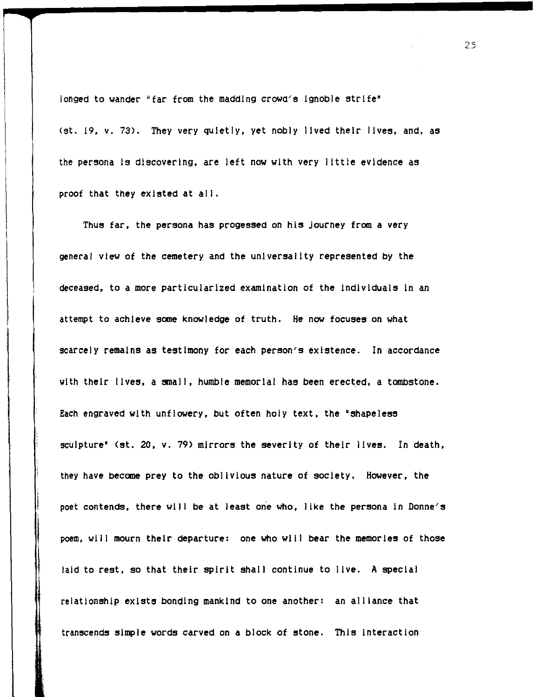longed to wander "far from the madding crowd's ignoble strife" (st. 19. v. 73). They very quietly. yet nobly lived their lives. and. as the persona Is discovering. are left now with very little evidence as proof that they existed at all.

In the control of the control of the control of the control of the control of the control of the control of th<br>In the control of the control of the control of the control of the control of the control of the control of th Thus far. the persona has progessed on his journey from a very general view of the cemetery and the universality represented by the deceased. to a more particularized examination of the Individuals in an attempt to achieve some knowledge of truth. He now focuses on what scarcely remains as testimony for each person's existence. In accordance with their lives, a small, humble memorial has been erected, a tombstone. Each engraved with unflowery, but often holy text, the "shapeless sculpture" (st. 20, v. 79) mirrors the severity of their lives. In death, they have become prey to the oblivious nature of society. However. the poet contends, there will be at least one who, like the persona in Donne's poem. will mourn their departure: one who will bear the memories of those laid to rest, so that their spirit shall continue to live. A special relationship exists bonding mankind to one another: an alliance that transcends simple words carved on a block of stone. This Interaction

I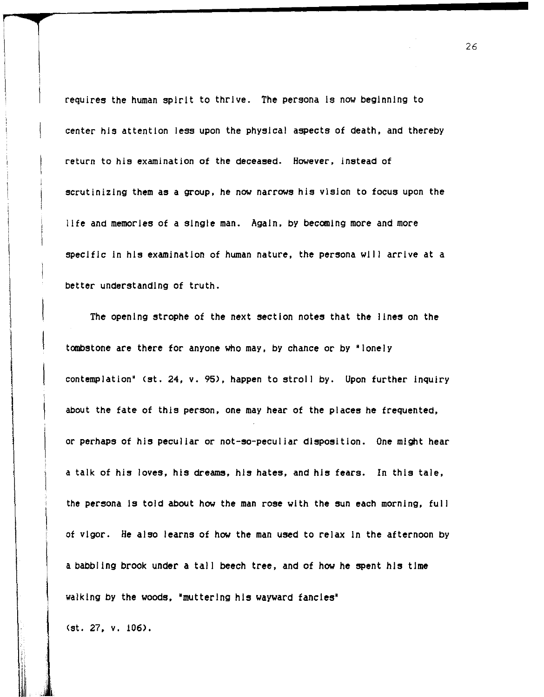requires the human spirit to thrive. The persona is now beginning to center his attention iess upon the physical aspects of death, and thereby return to his examination of the deceased. However, instead of scrutinizing them as a group, he now narrows his vision to focus upon the life and memories of a Single man. Again, by becoming more and more specific in his examination of human nature, the persona will arrive at a better understanding of truth.

The opening strophe of the next section notes that the lines on the tombstone are there for anyone who may, by chance or by 'lonely contemplation' (st. 24, v. 95), happen to stroll by. Upon further inquiry about the fate of this person, one may hear of the places he frequented, or perhaps of his peculiar or not-so-peculiar disposition. One might hear a talk of his loves, his dreams, his hates, and his fears. In this tale, the persona is told about how the man rose with the sun each morning, full ot vigor. He also learns of how the man used to relax In the afternoon by a babbling brook under a tal I beech tree, and of how he spent his time walking by the woods, 'muttering his wayward fancies'

I (st. 27, v. 106).

 $\vert$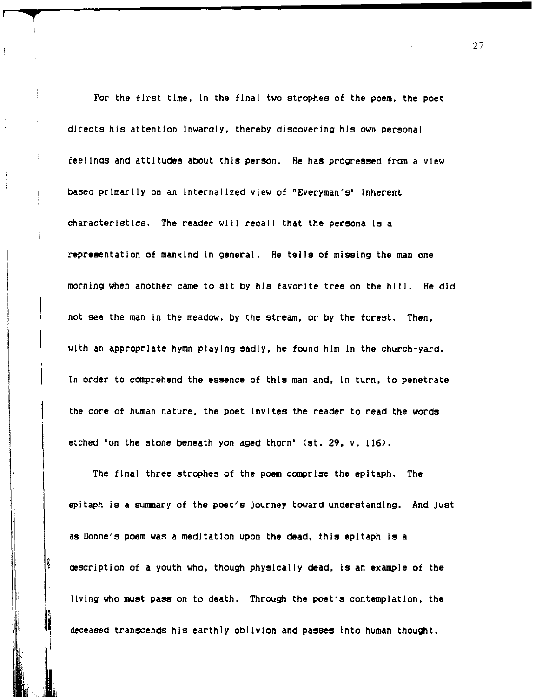For the first time, In the final two strophes of the poem, the poet directs his attention Inwardly, thereby discovering his own personal feelings and attitudes about this person. He has progressed from a view based primarily on an Internalized view of 'Everyman's' Inherent characteristics. The reader will recall that the persona Is a representation of mankind In general. He tells of missing the man one morning when another came to sit by his favorite tree on the hili. He did not see the man In the meadow. by the stream. or by the forest. Then. with an appropriate hymn playing sadly. he found him In the church-yard. In order to comprehend the essence of this man and. In turn, to penetrate the core of human nature, the poet Invites the reader to read the words etched 'on the stone beneath yon aged thorn' (st. 29, v. 116).

**i** 

, i

The final three strophes of the poem comprise the epitaph. The epitaph is a summary of the poet's journey toward understanding. And just as Donne's poem was a meditation upon the dead, this epitaph Is a ·descriptlon of a youth who. though physically dead, Is an example of the living who must pass on to death. Through the poet's contemplation. the deceased transcends his earthly oblivion and passes Into human thought.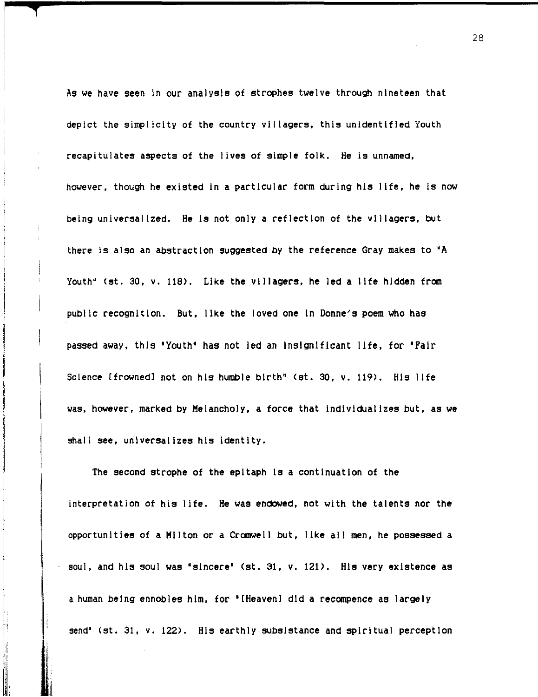As we have seen In our analysis of strophes twelve through nineteen that depict the simplicity of the country vii lagers, this unidentified Youth recapitulates aspects of the lives of simple folk. He is unnamed, however, though he existed in a particular form during his life, he is now being universalized. He is not oniy a reflection of the villagers, but there is also an abstraction suggested by the reference Gray makes to 'A youth' (st. 30, v. 118). Like the villagers, he led a life hidden from public recognition. But, like the loved one in Donne/s poem who has passed away, this 'Youth' has not led an Insignificant life, for 'Fair Science [frowned] not on his humble birth" (st. 30, v. 119). His life was, however, marked by Melancholy, a force that individualizes but, as we shall see, universalizes his Identity.

The second strophe of the epitaph Is a continuation of the interpretation of his life. He was endowed, not with the talents nor the opportunities of a Milton or a Cromwell but, like all men, he possessed a soul, and his soul was 'sincere' (st. 31. v. 121). His very existence as a human being ennobles him, for "[Heaven] did a recompence as largely send" (st. 31, v. 122). His earthly subsistance and spiritual perception

, , I

I. ilil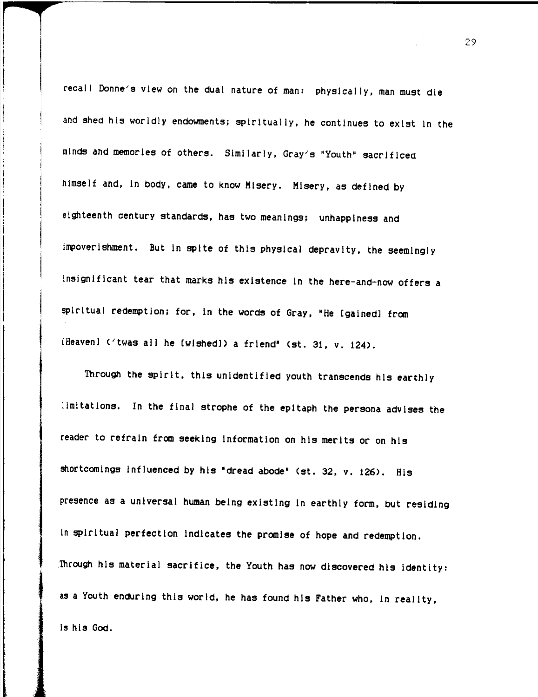recall Donne's view on the dual nature of man: physically. man must die and shed his worldly endowments; spiritually. he continues to exist in the minds and memories of others. Similarly. Gray's 'Youth' sacrificed himself and. in body. came to know Misery. Misery. as defined by eighteenth century standards. has two meanings; unhappiness and impoverishment. But in spite of this physical depravity. the seemingly insignificant tear that marks his existence In the here-and-now offers a spiritual redemption; for, in the words of Gray, "He [gained] from [Heaven] ('twas all he [wished]) a friend' (st. 31, v. 124).

Through the spirit, this unidentified youth transcends his earthly limitations. In the final strophe of the epitaph the persona advises the reader to refrain from seeking Information on his merits or on his shortcomings Influenced by his 'dread abode' (st. 32. v. 126). His presence as a universal human being existing In earthly form. but residing In spiritual perfection indicates the promise of hope and redemption. . Through his material sacrifice. the Youth has now discovered his identity: as a Youth enduring this world. he has found his Father who. In reality. is his GOd.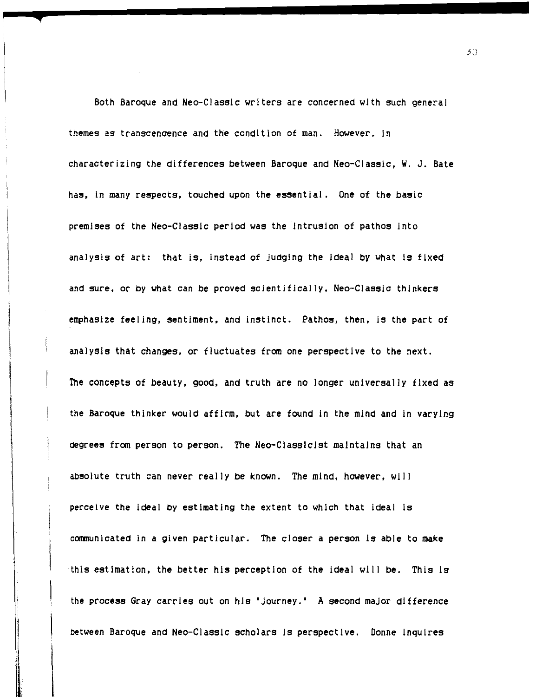Both Baroque and Neo-Classlc writers are concerned with such general themes as transcendence and the condition of man. However. In characterizing the differences between Baroque and Neo-Classic. W. J. Bate has. In many respects. touched upon the essential. One of the basic premises of the Neo-Classlc period was the Intrusion of pathos Into analysis of art: that is, instead of judging the ideal by what is fixed and sure, or by what can be proved scientifically, Neo-Classic thinkers emphasize feeling, sentiment, and instinct. Pathos, then, is the part of analysis that changes. or fluctuates from one perspective to the next. The concepts of beauty. good. and truth are no longer universally fixed as the Baroque thinker would affirm. but are found In the mind and In varying degrees from person to person. The Neo-Classlclst maintains that an absolute truth can never really be known. The mind. however. will perceive the Ideal by estimating the extent to which that ideal Is communicated in a given particular. The closer a person Is able to make 'this estimation. the better his perception of the Ideal will be. This Is the process Gray carries out on his 'journey.' A second major difference between Baroque and Neo-Classlc scholars Is perspective. Donne Inquires

3J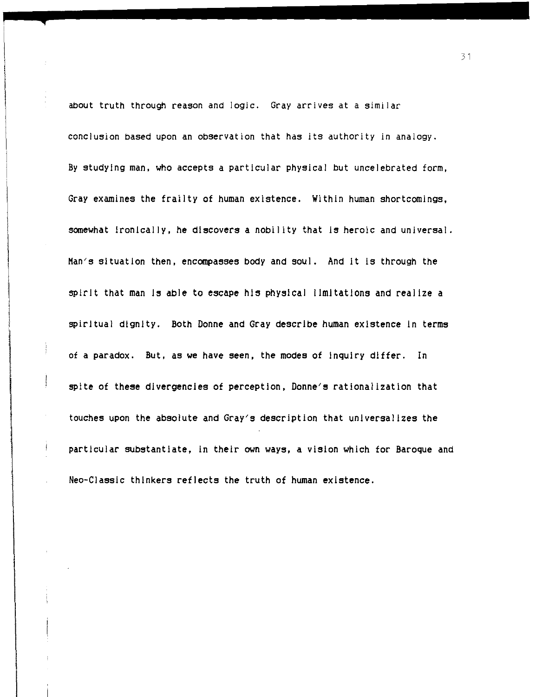about truth through reason and logic. Gray arrives at a similar conclusion based upon an observation that has its authority in analogy. By studying man, who accepts a particular physical but uncelebrated form, Gray examines the frailty of human existence. Within human shortcomings, somewhat ironically, he discovers a nobility that is heroic and universal. Man's situation then, encompasses body and soul. And It Is through the spirit that man Is able to escape his physical limitations and realize a spiritual dignity. Both Donne and Gray describe human existence in terms of a paradox. But, as we have seen, the modes of Inquiry differ. In spite of these divergencies of perception, Donne's rationalization that touches upon the absolute and Gray's description that universalizes the particular substantiate, In their own ways, a vision which for Baroque and Neo-Classlc thinkers reflects the truth of human existence.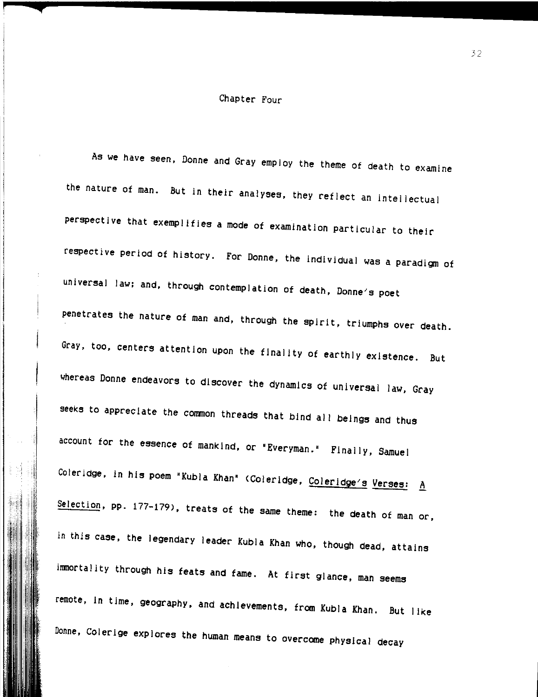### Chapter Four

As we have seen, Donne and Gray employ the theme of death to examine the nature of man. But in their analyses, they reflect an intellectual perspective that exemplifies a mode of examination particular to their respective period of history. For Donne, the individual was a paradigm of universal law; and, through contemplation of death, Donne's poet penetrates the nature of man and, through the spirit, triumphs over death. Gray, too, centers attention upon the finality of earthly existence. But whereas Donne endeavors to discover the dynamics of universal law, Gray seeks to appreciate the common threads that bind all beings and thus account for the essence of mankind, or "Everyman." Finally, Samuel Coleridge, in his poem "Kubla Khan" (Coleridge, Coleridge's Verses: A Selection, pp. 177-179), treats of the same theme: the death of man or, In this case, the legendary leader Kubla Khan who, though dead, attains immortality through his feats and fame. At first glance, man seems remote, In time, geography, and achievements, from Kubla Khan. But like Donne, Colerlge explores the human means to overcome physical decay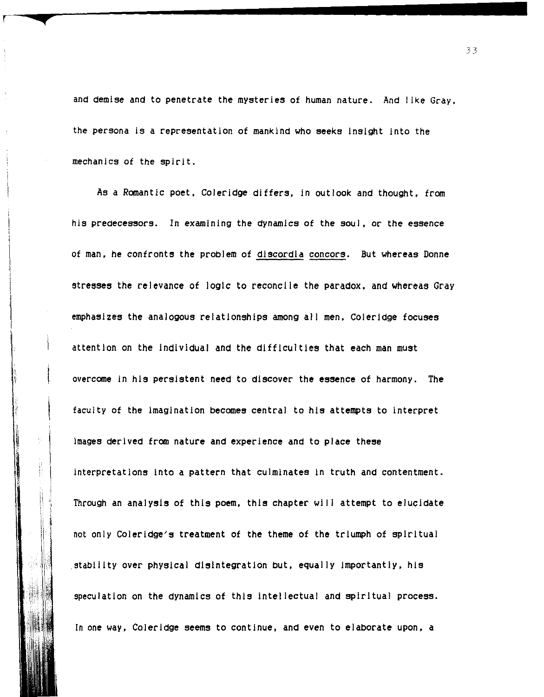and demise and to penetrate the mysteries of human nature. And like Gray. the persona is a representation of mankind who seeks Insight into the mechanics of the spirit.

As a Romantic poet, Coleridge differs, in outlook and thought, from his predecessors. In examining the dynamics of the soul. or the essence of man. he confronts the problem of discordia concors. But whereas Donne stresses the relevance of logic to reconcile the paradox, and whereas Gray emphasizes the analogous relationships among all men. Coleridge focuses attention on the Individual and the difficulties that each man must overcome in his persistent need to discover the essence of harmony. The faculty of the imagination becomes central to his attempts to interpret images derived from nature and experience and to place these interpretations Into a pattern that culminates in truth and contentment. Through an analysis of this poem. this chapter will attempt to elucidate not only Coleridge's treatment of the theme of the triumph of spiritual stability over physical disintegration but, equally importantly, his speculation on the dynamics of this Intellectual and spiritual process. In one way. Coleridge seems to continue. and even to elaborate upon, a

 $\begin{bmatrix} 1 & 1 \\ 1 & 2 \end{bmatrix}$ 

r

 $\parallel.\parallel$ !i Į.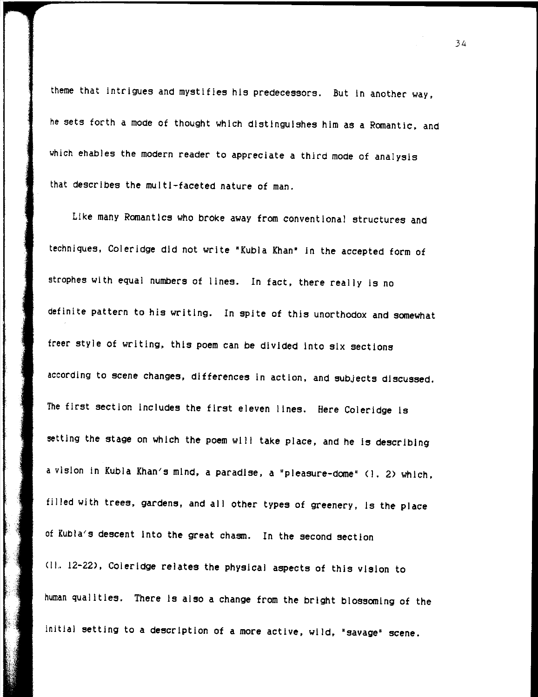theme that intrigues and mystifies his predecessors. But In another way. he sets forth a mode of thought which distinguishes him as a Romantic. and which ehables the modern reader to appreciate a third mode of analysis that describes the multi-faceted nature of man.

Like many Romantics who broke away from conventional structures and techniques. Coleridge did not write 'Kubla Khan' In the accepted form of strophes with equal numbers of lines. In fact, there really is no definite pattern to his writing. In spite of this unorthodox and somewhat freer style of writing. this poem can be divided Into six sections according to scene changes. differences in action. and subjects discussed. The first section includes the first eleven lines. Here Coleridge Is setting the stage on which the poem will take place, and he is describing a vision in Kubla Khan's mind. a paradise. a "pleasure-dome" (1.2) which. filled with trees, gardens, and all other types of greenery, is the place of Kubla's descent Into the great chasm. In the second section (IL. 12-22). Coleridge relates the physical aspects of this vision to human qualities. There Is also a change from the bright blossoming of the initial setting to a description of a more active, wild, "savage" scene.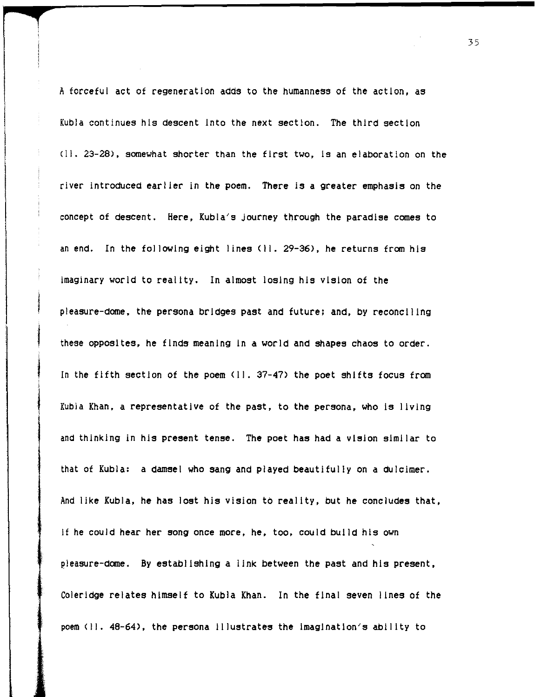A forceful act of regeneration adds to the humanness of the action, as Kubla continues his descent Into the next section. The third section (11.23-28), somewhat shorter than the first two, Is an elaboration on the river introduced earlier in the poem. There is a greater emphasis on the concept of descent. Here, Kubla's journey through the paradise comes to an end. In the following eight lines (11.29-36), he returns from his imaginary world to reality. In almost losing his vision of the pleasure-dome, the persona bridges past and future; and, by reconciling these opposites, he finds meaning In a world and shapes chaos to order. In the fifth section of the poem (II. 37-47) the poet shifts focus from Kubla Khan, a representative of the past, to the persona, who Is living and thinking in his present tense. The poet has had a vision similar to that of Kubla: a damsel who sang and played beautifully on a dulcimer. And like Kubla, he has lost his vision to reality, but he concludes that, If he could hear her song once more, he, too, could build his own pleasure-dome. By establishing a link between the past and his present, Coleridge relates himself to KUbia Khan. In the final seven lines of the poem (11.48-64), the persona Illustrates the Imagination's ability to

j<br>j<br>j

 $\mathbf{I}$ 

I

~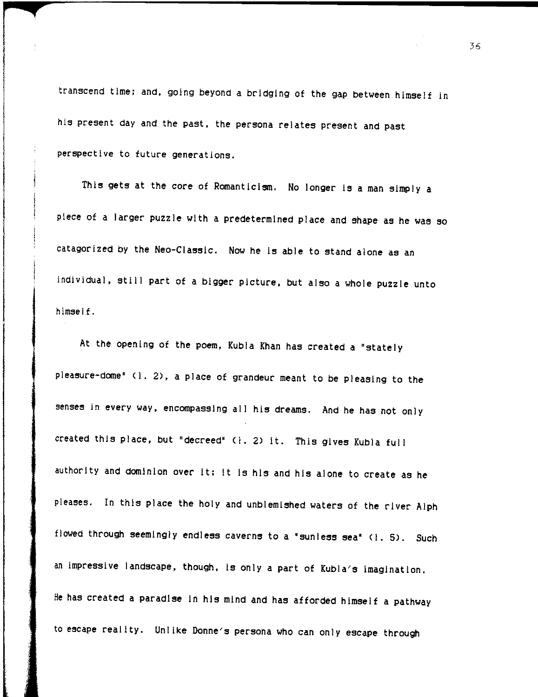transcend time; and, going beyond a bridging of the gap between himself in his present day and the past, the persona relates present and past perspective to future generations.

This gets at the core of Romanticism. No longer is a man simply a piece of a larger puzzle with a predetermined place and shape as he was so catagorized by the Neo-Classic. Now he is able to stand alone as an individual, still part of a bigger picture, but also a whole puzzle unto himself.

At the opening of the poem, Kubla Khan has created a "stately pleasure-dome" (I. 2), a place of grandeur meant to be pleasing to the senses in every way, encompassing all his dreams. And he has not only created this place, but "decreed' (1.2) It. This gives Kubla full authority and dominion over it; It is his and his alone to create as he pleases. In this place the holy and unblemished waters of the river Alph flowed through seemingly endless caverns to a 'sunless sea' (1.5). Such an impressive landscape, though, Is only a part of Kubla's imagination. He has created a paradise In his mind and has afforded himself a pathway to escape reality. Unlike Donne's persona who can only escape through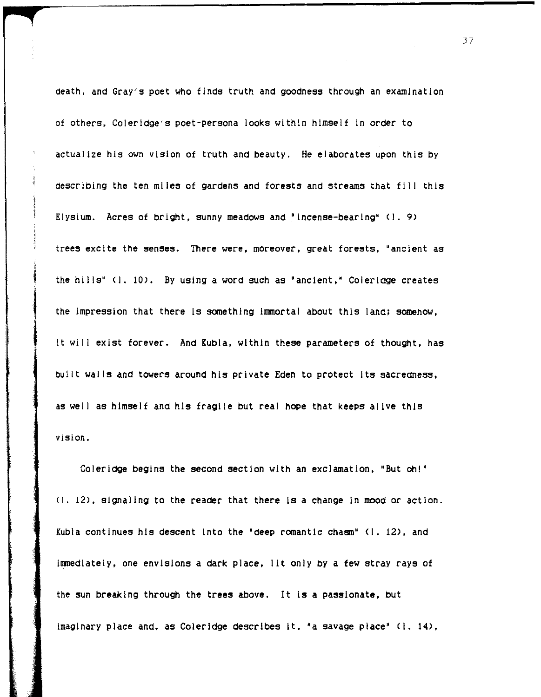death, and Gray's poet who finds truth and goodness through an examination of others, Coleridge's poet-persona looks within himself In order to actualize his own vision of truth and beauty. He elaborates upon this by describing the ten miles of gardens and forests and streams that fill this Elysium. Acres of bright, sunny meadows and "incense-bearing' (I. 9) trees excite the senses. There were, moreover, great forests, "ancient as the hills' (I. 10>. *By* using a word such as "ancient,' Coleridge creates the impression that there Is something Immortal about this land; somehow, it will exist forever. And Kubla, within these parameters of thought, has built walls and towers around his private Eden to protect Its sacredness, as well as himself and his fragile but real hope that keeps alive this vision.

Coleridge begins the second section with an exclamation, "But oh!" (I. 12), signaling to the reader that there is a change in mood or action. Kubla continues his descent Into the 'deep romantic chasm" (I. 12), and immediately, one envisions a dark place, lit only by a few stray rays of the sun breaking through the trees above. It Is a passionate, but imaginary place and, as Coleridge describes It, 'a savage place" (I. 14),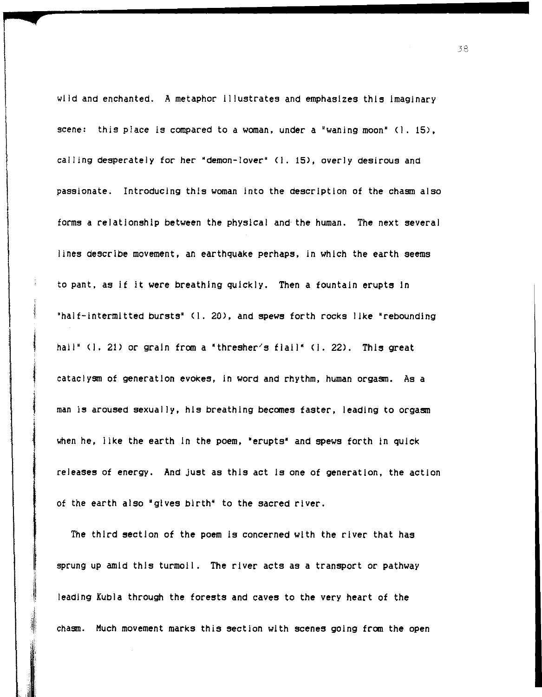wild and enchanted. A metaphor Illustrates and emphasizes this imaginary scene: this place is compared to a woman, under a "waning moon" (l. 15), calling desperately for her 'demon-lover" (I. 15>, overly desirous and passionate. Introducing this woman into the description of the chasm also forms a relationship between the physical and the human. The next several lines describe movement, an earthquake perhaps, in which the earth seems to pant, as if it were breathing quickly. Then a fountain erupts In "half-intermitted bursts' (1.20), and spews forth rocks like 'rebounding hail" (1. 21) or grain from a "thresher's flail" (1. 22). This great cataclysm of generation evokes, in word and rhythm, human orgasm. As a man is aroused sexually, his breathing becomes faster, leading to orgasm when he, like the earth in the poem, "erupts" and spews forth in quick releases of energy. And just as this act Is one of generation, the action of the earth also 'gives birth' to the sacred river.

The third section of the poem Is concerned with the river that has sprung up amid this turmoil. The river acts as a transport or pathway leading Kubla through the forests and caves to the very heart of the chasm. Much movement marks this section with scenes going from the open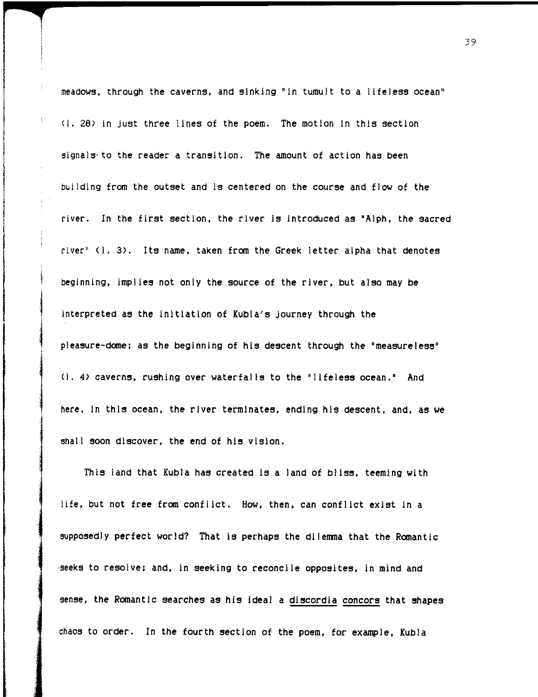meadows. through the caverns. and sinking "In tumult to a lifeless ocean" (I. 28) In just three lines of the poem. The motion In this section signals' to the reader a transition. The amount of action has been building from the outset and is centered on the course and flow of the river. In the first section. the river is Introduced as 'Alph. the sacred river" (I. 3). Its name. taken from the Greek letter alpha that denotes beginning. implies not only the source of the river. but also may be interpreted as the Initiation of Kubla's journey through the pleasure-dome; as the beginning of his descent through the "measureless' (1.4) caverns. rushing over waterfalls to the 'lifeless ocean.' And here, in this ocean, the river terminates, ending his descent, and, as we shall soon discover. the end of his vision.

This land that Kubla has created Is a land of bliss, teeming with life. but not free from conflict. How, then, can conflict exist in a supposedly perfect world? That Is perhaps the dilemma that the Romantic 'seeks to resolve; and, In seeking to reconci Ie opposites, In mind and sense, the Romantic searches as his ideal a discordia concors that shapes chaos to order. In the fourth section of the poem, for example, Kubla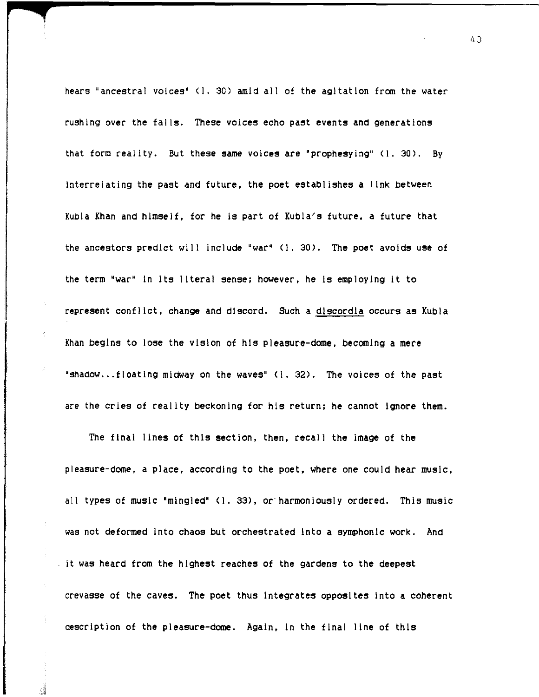hears "ancestral voices" (I. 30) amid all of the agitation from the water rushing over the fal Is. These voices echo past events and generations that form reality. But these same voices are "prophesying" (1. 30). By interrelating the past and future, the poet establishes a link between Kubla Khan and himself, for he Is part of Kubla's future, a future that the ancestors predict will include "war" (1.30). The poet avoids use of the term "war" In Its literal sense; however, he Is employing It to represent conflict, change and discord. Such a dlscordla occurs as Kubla Khan begins to lose the vision of his pleasure-dome, becoming a mere "shadow... floating midway on the waves"  $(1, 32)$ . The voices of the past are the cries of reality beckoning for his return; he cannot ignore them.

The finai lines of this section, then, recall the Image of the pieasure-dome, a place, according to the poet, where one could hear music, all types of music "mingled" (1.33), or harmoniously ordered. This music was not deformed Into chaos but orchestrated Into a symphonic work. And it was heard from the highest reaches of the gardens to the deepest crevasse of the caves. The poet thus Integrates opposites into a coherent description of the pleasure-dome. Again, in the final line of this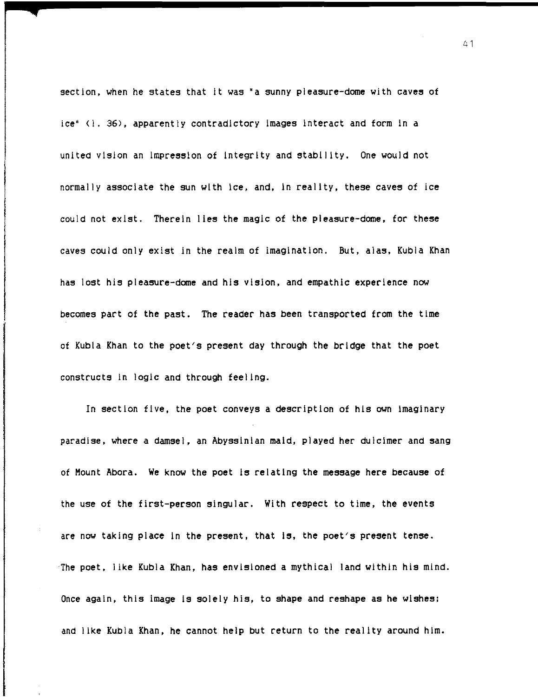section, when he states that it was "a sunny pleasure-dome with caves of ice" (I. 36), apparently contradictory images interact and form in a united vision an impression of integrity and stability. One would not normaily associate the sun with ice, and, in reality, these caves of ice could not exist. Therein lies the magic of the pleasure-dome, for these caves could only exist in the realm of imagination. But, alas, Kubla Khan has lost his pleasure-dome and his vision, and empathic experience now becomes part of the past. The reader has been transported from the time of Kubla Khan to the poet's present day through the bridge that the poet constructs in logic and through feeling.

In section five, the poet conveys a description of his own imaginary paradise, where a damsel, an Abyssinian maid, played her dulcimer and sang of Mount Abora. We know the poet is relating the message here because of the use of the first-person singular. With respect to time, the events are now taking place in the present, that is, the poet's present tense. 'The poet, like Kubla Khan, has envisioned a mythical land within his mind. Once again, this image is solely his, to shape and reshape as he wishes; and like Kubla Khan, he cannot help but return to the reality around him.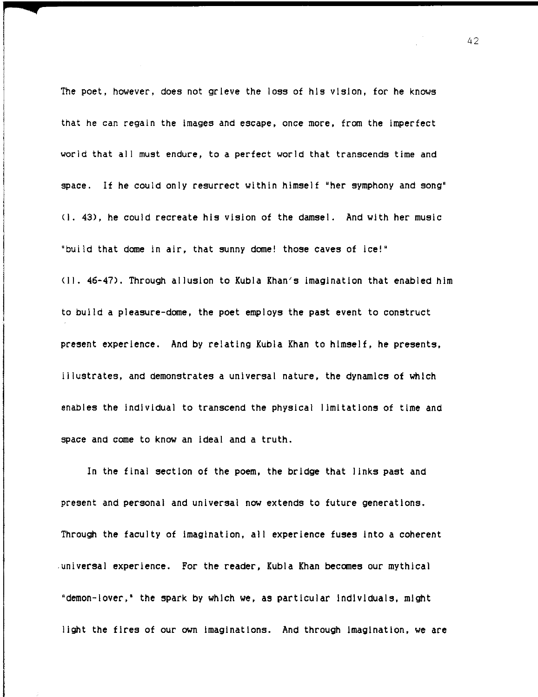The poet, however, does not grieve the loss of his vision, for he knows that he can regain the images and escape, once more, from the imperfect world that all must endure, to a perfect world that transcends time and space. If he could only resurrect within himseif "her symphony and song" (i. 43), he couid recreate his vision of the damsel. And with her music "bui Id that dome in air, that sunny dome! those caves of ice!' (II. 46-47). Through allusion to Kubla Khan's imagination that enabled him to build a pleasure-dome, the poet employs the past event to construct present experience. And by relating Kubla Khan to himself, he presents, illustrates, and demonstrates a universal nature, the dynamics of which enables the individual to transcend the physical limitations of time and space and come to know an ideal and a truth.

In the final section of the poem, the bridge that links past and present and personai and universal now extends to future generations. Through the faculty of imagination, all experience fuses Into a coherent ,universal experience. For the reader. Kubla Khan becomes our mythical 'demon-lover,' the spark by which we, as particular Individuals, might light the fires of our own imaginations. And through imagination, we are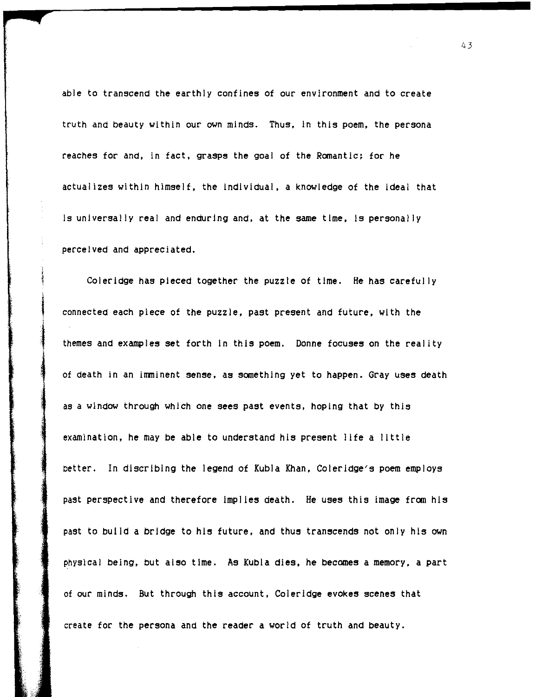able to transcend the earthly confines of our environment and to create truth and beauty within our own minds. Thus, In this poem, the persona reaches for and, in fact, grasps the goal of the Romantic; for he actualizes within himself, the Individual, a knowledge of the ideal that Is universally real and enduring and, at the same time, Is personally perceived and appreciated.

Coleridge has pieced together the puzzle of time. He has carefully connected each piece of the puzzle, past present and future, with the themes and examples set forth In this poem. Donne focuses on the reality of death in an imminent sense, as something yet to happen. Gray uses death as a window through which one sees past events, hoping that *by* this examination, he may be able to understand his present life a little better. In dlscrlblng the legend of Kubla Khan, Coleridge's poem employs past perspective and therefore Implies death. He uses this image from his past to build a bridge to his future, and thus transcends not only his own physical being, but also time. As Kubla dies, he becomes a memory, a part of our minds. But through this account, Coleridge evokes scenes that create for the persona and the reader a world of truth and beauty.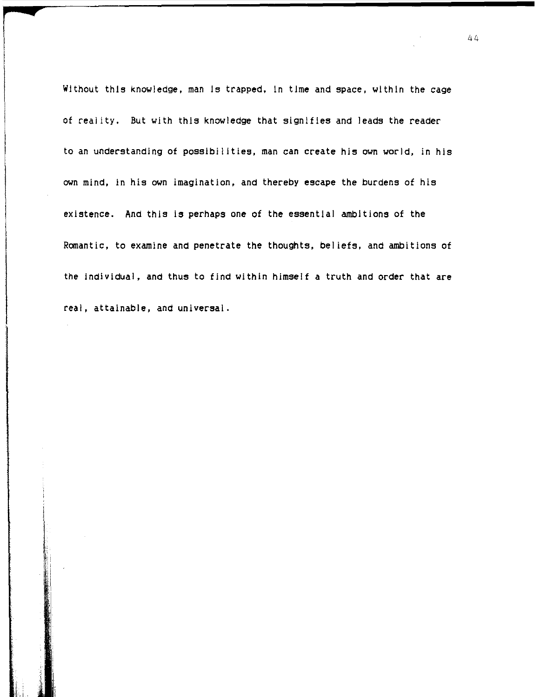Without this knowledge, man Is trapped, In time and space, within the cage of reality. But with this knowledge that signifies and leads the reader to an understanding of possibilities, man can create his own world, in his own mind, in his own imagination, and thereby escape the burdens of his existence. And this is perhaps one of the essential ambitions of the Romantic, to examine and penetrate the thoughts, beliefs, and ambitions of the individual, and thus to find within himself a truth and order that are real, attainable, and universal.

r

**4** 

Ii

i: !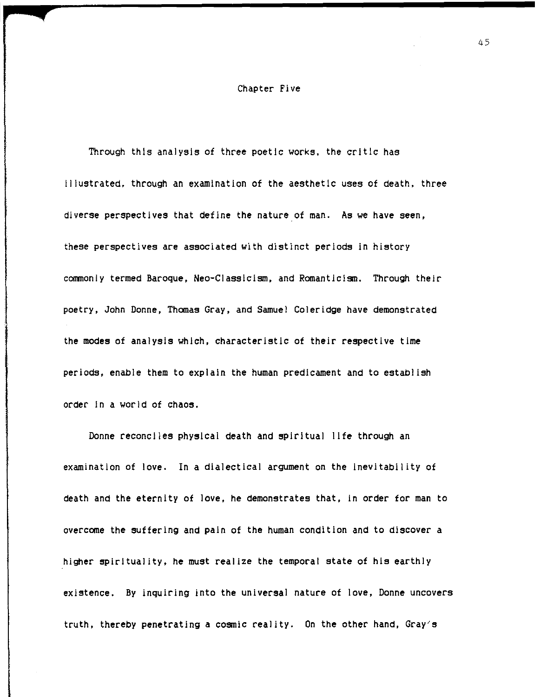#### Chapter Five

Through this analysis of three poetic works. the critic has Illustrated. through an examination of the aesthetic uses of death. three diverse perspectives that define the nature of man. As we have seen. these perspectives are associated with distinct periods in history commonly termed Baroque. Neo-Classicism. and Romanticism. Through their poetry. John Donne, Thomas Gray, and Samuel Coleridge have demonstrated the modes of analysIs which. characteristic of their respective time periods, enable them to explain the human predicament and to establish order In a world of chaos.

Donne reconciles physical death and spiritual life through an examination of love. In a dialectical argument on the inevitability of death and the eternity of love. he demonstrates that. in order for man to overcome the suffering and pain of the human condition and to discover a higher spirituality, he must realize the temporal state of his earthly existence. By inquiring into the universal nature of love, Donne uncovers truth, thereby penetrating a cosmic reality. On the other hand, Gray's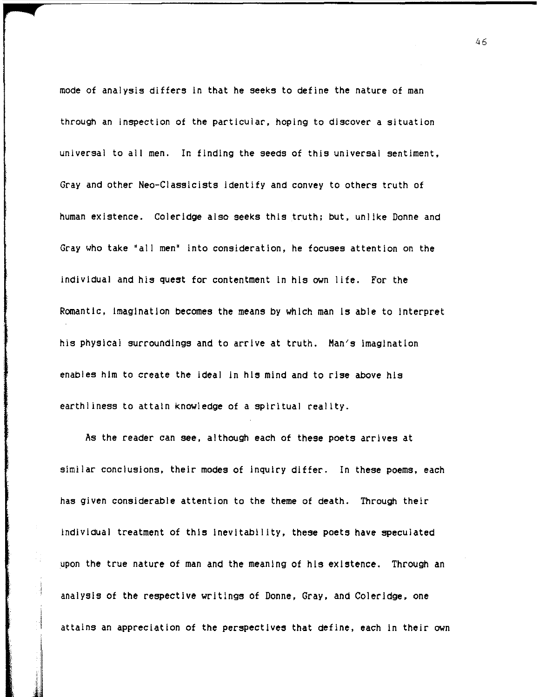mode of analysis differs in that he seeks to define the nature of man through an inspection of the particular. hoping to discover a situation universal to all men. In finding the seeds of this universal sentiment. Gray and other Neo-Classicists identify and convey to others truth of human existence. Coieridge also seeks this truth; but. unlike Donne and Gray who take "all men" into consideration. he focuses attention on the individual and his quest for contentment in his own life. For the Romantic. imagination becomes the means by which man is able to interpret his physical surroundings and to arrive at truth. Man's Imagination enables him to create the ideal In his mind and to rise above his earthliness to attain knowledge of a spiritual reality.

As the reader can see. although each of these poets arrives at similar conclusions. their modes of inquiry differ. In these poems. each has given considerable attention to the theme of death. Through their individual treatment of this Inevitability. these poets have speculated upon the true nature of man and the meaning of his existence. Through an analysis of the respective writings of Donne. Gray. and Coleridge. one attains an appreciation of the perspectives that define. each in their own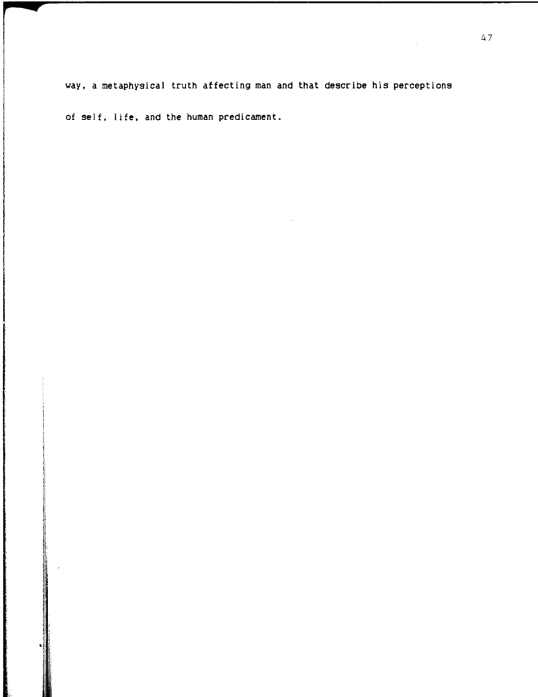way. a metaphysical truth affecting man and that describe his perceptions

of self. life. and the human predicament.

re de la propieta de la propieta de la propieta de la propieta de la propieta de la propieta de la propieta d<br>La propieta de la propieta de la propieta de la propieta de la propieta de la propieta de la propieta de la pr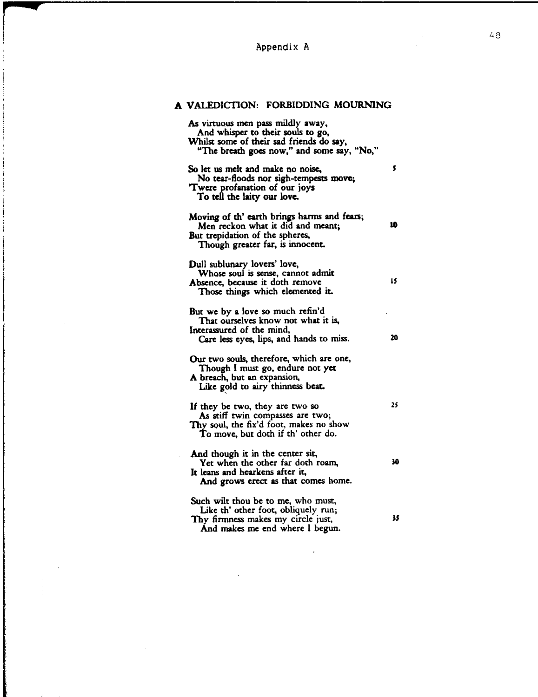# Appendix A

r

**Q** 

i ili.

# A VALEDICTION: FORBIDDING MOURNING

| As virtuous men pass mildly away,<br>And whisper to their souls to go,<br>Whilst some of their sad friends do say,<br>"The breath goes now," and some say, "No," |    |
|------------------------------------------------------------------------------------------------------------------------------------------------------------------|----|
| So let us melt and make no noise,<br>No tear-floods nor sigh-tempests move;<br>Twere profanation of our joys<br>To tell the laity our love.                      | s  |
| Moving of th' earth brings harms and fears;<br>Men reckon what it did and meant;<br>But trepidation of the spheres,<br>Though greater far, is innocent.          | 10 |
| Dull sublunary lovers' love,<br>Whose soul is sense, cannot admit<br>Absence, because it doth remove<br>Those things which elemented it.                         | 15 |
| But we by a love so much refin'd<br>That ourselves know not what it is,<br>Interassured of the mind,<br>Care less eyes, lips, and hands to miss.                 | 20 |
| Our two souls, therefore, which are one,<br>Though I must go, endure not yet<br>A breach, but an expansion,<br>Like gold to airy thinness beat.                  |    |
| If they be two, they are two so<br>As stiff twin compasses are two;<br>Thy soul, the fix'd foot, makes no show<br>To move, but doth if th' other do.             | 25 |
| And though it in the center sit,<br>Yet when the other far doth roam,<br>It leans and hearkens after it,<br>And grows erect as that comes home.                  | 30 |
| Such wilt thou be to me, who must,<br>Like th' other foot, obliquely run;<br>Thy firmness makes my circle just,<br>And makes me end where I begun.               | 35 |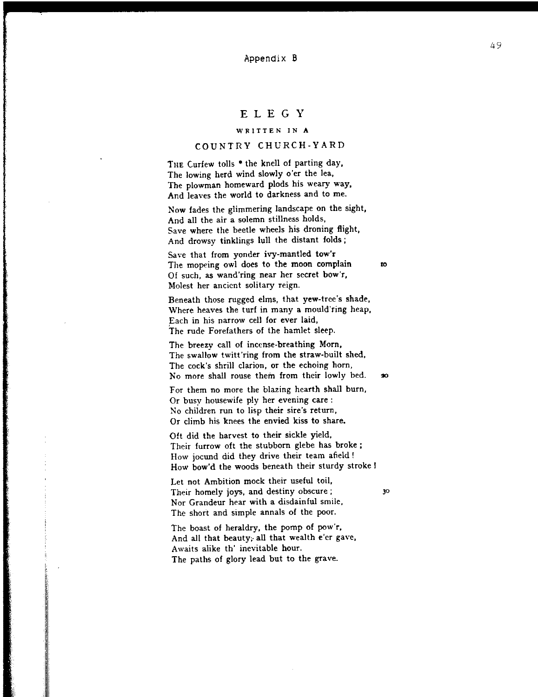#### Appendix B

# ELEGY

## **WRITTEN IN A**

## COUNTRY CHURCH-YARD

THE Curfew tolls \* the knell of parting day, The lowing herd wind slowly o'er the lea, The plowman homeward plods his weary way, And leaves the world to darkness and to me.

Now fades the glimmering landscape on the sight, And all the air a solemn stillness holds, Save where the beetle wheels his droning flight, And drowsy tinklings lull the distant folds;

Save that from yonder ivy-mantled tow'r The mopeing owl does to the moon complain 10 **Of such, as wand'ring near her secret bow'r, Molest her ancient solitary reign.** 

Beneath those rugged elms, that yew-tree's shade, Where heaves the turf in many a mould'ring heap, Each in his narrow cell for ever laid, The rude Forefathers of the hamlet sleep.

The breezy call of incense-breathing Morn, The swallow twitt'ring from the straw-built shed, The cock's shrill clarion, or the echoing horn, No more shall rouse them from their lowly bed. . .

For them no more the blazing hearth shall burn, Or busy housewife ply her evening care: No children run to lisp their sire's return, Or climb his knees the envied kiss to share,

Oft did the harvest to their sickle yield, Their furrow oft the stubborn glebe has broke; How jocund did they drive their team afield! How bow'd the woods beneath their sturdy stroke I

Let not Ambition mock their useful toil, Their homely joys, and destiny obscure; 30 Nor Grandeur hear with a disdainful smile, The short and simple annals of the poor.

The boast of heraldry. the pomp of pow'r. And all that beauty; all that wealth e'er gave, Awaits alike th' inevitable hour. The paths of glory lead but to the grave.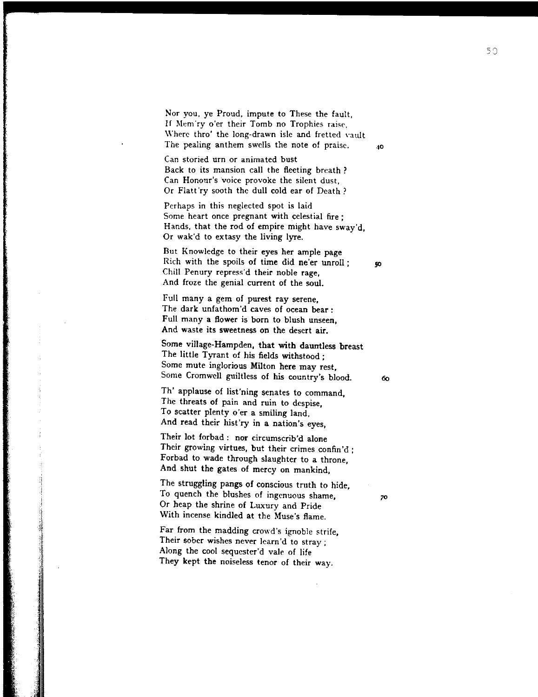Nor you, ye Proud, impute to These the fault, If Mem'ry o'er their Tomb no Trophies raise, Where thro' the long-drawn isle and fretted vault The pealing anthem swells the note of praise.  $\frac{10}{10}$ 

**Can storied urn or animated bust**  Back to its mansion call the fleeting breath? **Can Honour's 'voice provoke the sitent dust,**  Or Flatt'ry sooth the dull cold ear of Death?

Perhaps in this neglected spot is laid Some heart once pregnant with celestial fire; Hands, that the rod of empire might have sway'd, Or wak'd to extasy the living lyre,

But Knowledge to their eyes her ample page Rich with the spoils of time did ne'er unroll;  $\boldsymbol{\varphi}$ Chill Penury repress'd their noble rage, And froze the genial current of the soul.

Full many a gem of purest ray serene, The dark unfathom'd caves of ocean bear: **Full many a flower is born to blush unseen, And waste its sweetness on the desert air.** 

Some village· Hampden, that with dauntless breast The little Tyrant of his fields withstood; Some mute inglorious Milton here may rest, Some Cromwell guiltless of his country's blood. 60

Th' applause of list'ning senates to command, **The threats of pain and ruin to despise,**  To scatter plenty o'er a smiling land, And read their hist'ry in a nation's eyes,

Their lot forbad: nor circumscrib'd alone **Their growing virtues, but their crimes confin'd;**  Forbad to wade through slaughter to a throne, And shut the gates of mercy on mankind,

The struggling pangs of conscious truth to hide, To quench the blushes of ingenuous shame,  $70$ Or heap the shrine of Luxury and Pride With incense kindled at the Muse's flame,

Far from the madding crowd's ignoble strife, **Their sober wishes never Jearn'd to stray;**  Along the cool sequester'd vale of life They kept the noiseless tenor of their way.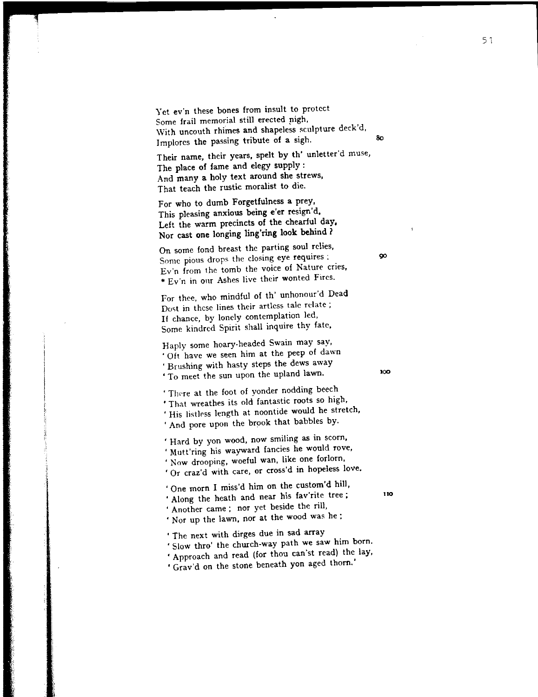Yet ev'n these bones from insult to protect Some frail memorial still erected nigh, With uncouth rhimes and shapeless sculpture deck'd, Implores the passing tribute of a sigh. 80

Their name, their years, spelt by th' unletter'd muse, The place of fame and elegy supply: And many a holy text around she strews, That teach the rustic moralist to die,

For who to dumb Forgetfulness a prey, This pleasing anxious being e'er resign'd, Left the warm precincts of the chearful day, Nor cast one longing ling'ring look behind?

On some fond breast the parting soul relies, Some **pious drops the closing eye requires:** 90 **Ev'n from the tomb the voice of Nature cries,**   $*$  Ev'n in our Ashes live their wonted Fires.

For thee, who mindful of th' unhonour'd Dead Dost in these lines their artless tale relate; If chance, by lonely contemplation led, Some kindred Spirit shall inquire thy fate,

Haply some hoary-headed Swain may say, **<sup>I</sup>Oft have we seen him at the peep of dawn**  , Brushing with hasty steps the dews away ' To meet the sun upon the upland lawn.

'There at the foot of yonder nodding beech ' That wreathes its old fantastic roots so high, , His listlrss length at noontide would he stretch,

' And pore upon the brook that babbles by.

**. Hard by yon wood, now smiling as in scorn,**  , Mutt'ring his wayward fancies he would rove, **. Now drooping, woeful wan, like one forlorn. fOr craz'd with care, or cross'd in hopeless love.** 

, One morn I miss'd him on the custom'd hill, Along the heath and near his fav'rite tree; 110 , Another came; nor yet beside the rill, , Nor up the lawn, nor at the wood was he:

, The next with dirges due in sad array

, Slow thro' the church-way path we saw him born,

, Approach and read (for thou can'st read) the lay,

, Grav'd on the stone beneath yon aged thorn,'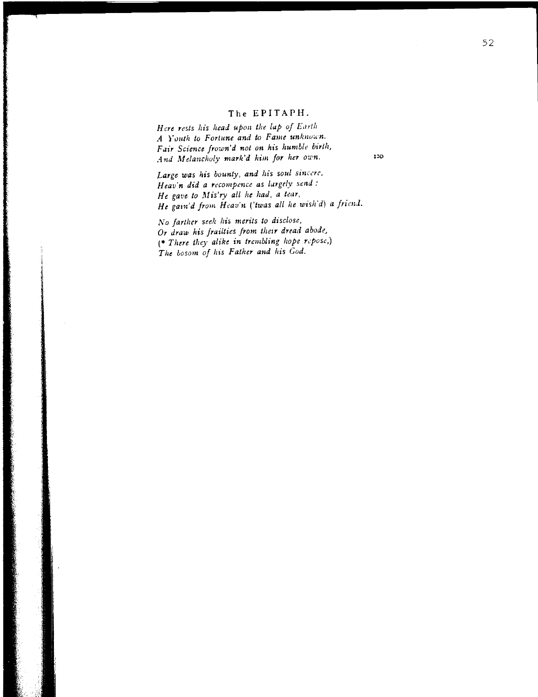## The EPITAPH.

120

Here rests his head upon the lap of Earth *A Youth to Fortune and to Fame unknown.* Fair Science frown'd not on his humble birth, *And Melancholy mark'd him for her own.* 

Large was his bounty, and his soul sincere, Heav'n did a recompence as largely send: *He gave to lllis'ry all he had, a tear,*  He gain'd from *Heav'n ('twas all he wish'd) a friend*.

*1\' 0 farther seek his merits to disclose, Or draw his frailties from their dread abode,* (\* *There they alike in trembling hope repose,) The bosom of his Father and his God.*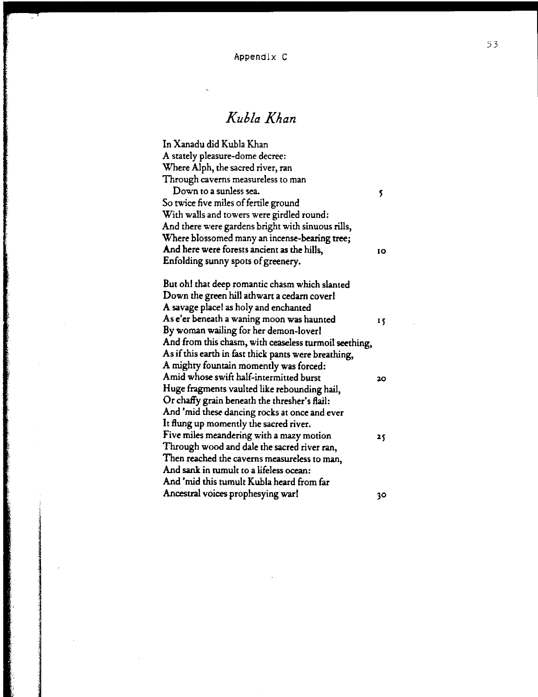Appendix C

# *Kubla Khan*

In Xanadu did Kubla Khan A stately pleasure-dome decree: Where Alph, the sacred river, ran Through caverns measureless to man Down to a sunless sea. So twice five miles of fertile ground With walls and towers were girdled round: And there were gardens bright with sinuous rills, Where blossomed many an incense-bearing tree; And here were forests ancient as the hills, 10 Enfolding sunny spots of greenery. But oh! that deep romantic chasm which slanted Down the green hill athwart a cedam cover! A savage place! as holy and enchanted As e'er beneath a waning moon was haunted 15 By woman wailing for her demon-lover! And from this chasm, with ceaseless turmoil seething, As if this earth in fast thick pants were breathing, A mighty fountain momently was forced: Amid whose swift half-intermitted burst '100 20 Huge fragments vaulted like rebounding hail, Or chaffy grain beneath the thresher's Rail: And 'mid these dancing rocks at once and ever It flung up momently the sacred river. Five miles meandering with a mazy motion  $15$ Through wood and dale the sacred river ran, Then reached the caverns measureless to man, And sank in tumult to a lifeless ocean: And 'mid this tumult Kubla heard from far Ancestral voices prophesying war! 30

en de la modernation de la modernation de la modernation de la modernation de la modernation de la modernation<br>La modernation de la modernation de la modernation de la modernation de la modernation de la modernation de la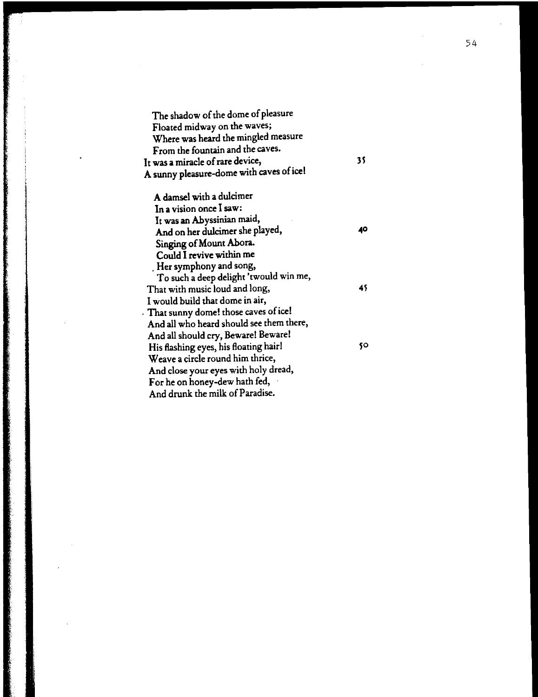| The shadow of the dome of pleasure       |    |
|------------------------------------------|----|
| Floated midway on the waves;             |    |
| Where was heard the mingled measure      |    |
| From the fountain and the caves.         |    |
| It was a miracle of rare device,         | 35 |
| A sunny pleasure-dome with caves of ice! |    |
| A damsel with a dulcimer                 |    |
| In a vision once I saw:                  |    |
| It was an Abyssinian maid,               |    |
| And on her dulcimer she played,          | 40 |
| Singing of Mount Abora.                  |    |
| Could I revive within me                 |    |
| . Her symphony and song,                 |    |
| To such a deep delight 'twould win me,   |    |
| That with music loud and long,           | 45 |
| I would build that dome in air,          |    |
| That sunny dome! those caves of ice!     |    |
| And all who heard should see them there, |    |
| And all should cry, Beware! Beware!      |    |
| His flashing eyes, his floating hair!    | 50 |
| Weave a circle round him thrice,         |    |
| And close your eyes with holy dread,     |    |
| For he on honey-dew hath fed,            |    |
| And drunk the milk of Paradise.          |    |